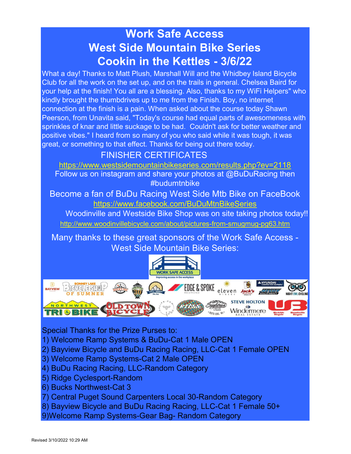# Work Safe Access West Side Mountain Bike Series Cookin in the Kettles - 3/6/22

What a day! Thanks to Matt Plush, Marshall Will and the Whidbey Island Bicycle Club for all the work on the set up, and on the trails in general. Chelsea Baird for your help at the finish! You all are a blessing. Also, thanks to my WiFi Helpers" who kindly brought the thumbdrives up to me from the Finish. Boy, no internet connection at the finish is a pain. When asked about the course today Shawn Peerson, from Unavita said, "Today's course had equal parts of awesomeness with sprinkles of knar and little suckage to be had. Couldn't ask for better weather and positive vibes." I heard from so many of you who said while it was tough, it was great, or something to that effect. Thanks for being out there today.

# FINISHER CERTIFICATES

https://www.westsidemountainbikeseries.com/results.php?ev=2118 Follow us on instagram and share your photos at @BuDuRacing then

#budumtnbike

Become a fan of BuDu Racing West Side Mtb Bike on FaceBook https://www.facebook.com/BuDuMtnBikeSeries

http://www.woodinvillebicycle.com/about/pictures-from-smugmug-pg63.htm Woodinville and Westside Bike Shop was on site taking photos today!!

Many thanks to these great sponsors of the Work Safe Access - West Side Mountain Bike Series:



Special Thanks for the Prize Purses to:

- 1) Welcome Ramp Systems & BuDu-Cat 1 Male OPEN
- 2) Bayview Bicycle and BuDu Racing Racing, LLC-Cat 1 Female OPEN
- 3) Welcome Ramp Systems-Cat 2 Male OPEN
- 4) BuDu Racing Racing, LLC-Random Category
- 5) Ridge Cyclesport-Random
- 6) Bucks Northwest-Cat 3
- 7) Central Puget Sound Carpenters Local 30-Random Category
- 8) Bayview Bicycle and BuDu Racing Racing, LLC-Cat 1 Female 50+
- 9)Welcome Ramp Systems-Gear Bag- Random Category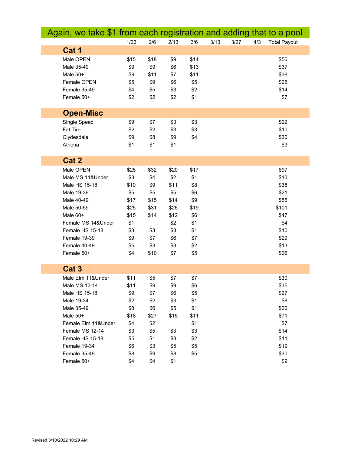| Again, we take \$1 from each registration and adding that to a pool |      |      |      |      |      |      |     |                     |
|---------------------------------------------------------------------|------|------|------|------|------|------|-----|---------------------|
|                                                                     | 1/23 | 2/6  | 2/13 | 3/6  | 3/13 | 3/27 | 4/3 | <b>Total Payout</b> |
| Cat 1                                                               |      |      |      |      |      |      |     |                     |
| Male OPEN                                                           | \$15 | \$18 | \$9  | \$14 |      |      |     | \$56                |
| Male 35-49                                                          | \$9  | \$9  | \$6  | \$13 |      |      |     | \$37                |
| Male 50+                                                            | \$9  | \$11 | \$7  | \$11 |      |      |     | \$38                |
| Female OPEN                                                         | \$5  | \$9  | \$6  | \$5  |      |      |     | \$25                |
| Female 35-49                                                        | \$4  | \$5  | \$3  | \$2  |      |      |     | \$14                |
| Female 50+                                                          | \$2  | \$2  | \$2  | \$1  |      |      |     | \$7                 |
|                                                                     |      |      |      |      |      |      |     |                     |
| <b>Open-Misc</b>                                                    |      |      |      |      |      |      |     |                     |
| Single Speed                                                        | \$9  | \$7  | \$3  | \$3  |      |      |     | \$22                |
| <b>Fat Tire</b>                                                     | \$2  | \$2  | \$3  | \$3  |      |      |     | \$10                |
| Clydesdale                                                          | \$9  | \$8  | \$9  | \$4  |      |      |     | \$30                |
| Athena                                                              | \$1  | \$1  | \$1  |      |      |      |     | \$3                 |
|                                                                     |      |      |      |      |      |      |     |                     |
| Cat 2                                                               |      |      |      |      |      |      |     |                     |
| Male OPEN                                                           | \$28 | \$32 | \$20 | \$17 |      |      |     | \$97                |
| Male MS 14&Under                                                    | \$3  | \$4  | \$2  | \$1  |      |      |     | \$10                |
| Male HS 15-18                                                       | \$10 | \$9  | \$11 | \$8  |      |      |     | \$38                |
| Male 19-39                                                          | \$5  | \$5  | \$5  | \$6  |      |      |     | \$21                |
| Male 40-49                                                          | \$17 | \$15 | \$14 | \$9  |      |      |     | \$55                |
| Male 50-59                                                          | \$25 | \$31 | \$26 | \$19 |      |      |     | \$101               |
| Male 60+                                                            | \$15 | \$14 | \$12 | \$6  |      |      |     | \$47                |
| Female MS 14&Under                                                  | \$1  |      | \$2  | \$1  |      |      |     | \$4                 |
| Female HS 15-18                                                     | \$3  | \$3  | \$3  | \$1  |      |      |     | \$10                |
| Female 19-39                                                        | \$9  | \$7  | \$6  | \$7  |      |      |     | \$29                |
| Female 40-49                                                        | \$5  | \$3  | \$3  | \$2  |      |      |     | \$13                |
| Female 50+                                                          | \$4  | \$10 | \$7  | \$5  |      |      |     | \$26                |
|                                                                     |      |      |      |      |      |      |     |                     |
| Cat <sub>3</sub>                                                    |      |      |      |      |      |      |     |                     |
| Male Elm 11&Under                                                   | \$11 | \$5  | \$7  | \$7  |      |      |     | \$30                |
| Male MS 12-14                                                       | \$11 | \$9  | \$9  | \$6  |      |      |     | \$35                |
| Male HS 15-18                                                       | \$9  | \$7  | \$6  | \$5  |      |      |     | \$27                |
| Male 19-34                                                          | \$2  | \$2  | \$3  | \$1  |      |      |     | \$8                 |
| Male 35-49                                                          | \$8  | \$6  | \$5  | \$1  |      |      |     | \$20                |
| Male 50+                                                            | \$18 | \$27 | \$15 | \$11 |      |      |     | \$71                |
| Female Elm 11&Under                                                 | \$4  | \$2  |      | \$1  |      |      |     | \$7                 |
| Female MS 12-14                                                     | \$3  | \$5  | \$3  | \$3  |      |      |     | \$14                |
| Female HS 15-18                                                     | \$5  | \$1  | \$3  | \$2  |      |      |     | \$11                |
| Female 19-34                                                        | \$6  | \$3  | \$5  | \$5  |      |      |     | \$19                |
| Female 35-49                                                        | \$8  | \$9  | \$8  | \$5  |      |      |     | \$30                |
| Female 50+                                                          | \$4  | \$4  | \$1  |      |      |      |     | \$9                 |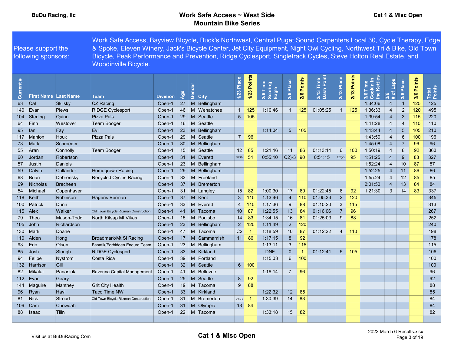|                             | Please support the<br>following sponsors: |                             | Work Safe Access, Bayview Blcycle, Buck's Northwest, Central Puget Sound Carpenters Local 30, Cycle Therapy, Edge<br>& Spoke, Eleven Winery, Jack's Bicycle Center, Jet City Equipment, Night Owl Cycling, Northwest Tri & Bike, Old Town<br>Bicycle, Peak Performance and Prevention, Ridge Cyclesport, Singletrack Cycles, Steve Holton Real Estate, and<br><b>Woodinville Bicycle.</b> |                 |             |    |                             |                 |                       |                              |                 |               |                                |                |             |                                      |                                         |                |            |                 |
|-----------------------------|-------------------------------------------|-----------------------------|-------------------------------------------------------------------------------------------------------------------------------------------------------------------------------------------------------------------------------------------------------------------------------------------------------------------------------------------------------------------------------------------|-----------------|-------------|----|-----------------------------|-----------------|-----------------------|------------------------------|-----------------|---------------|--------------------------------|----------------|-------------|--------------------------------------|-----------------------------------------|----------------|------------|-----------------|
| $\ddot{\bullet}$<br>Current |                                           | <b>First Name Last Name</b> | <b>Team</b>                                                                                                                                                                                                                                                                                                                                                                               | <b>Division</b> | Age         | රී | <b>City</b>                 | Place<br>1/23   | <b>Points</b><br>1/23 | 2/6 Time<br>Soaring<br>Eagle | Place<br>2/6    | Points<br>2/6 | ة E<br>P<br>$2/13$ T<br>Dash I | Place<br>2/13  | 2/13 Points | 3/6 Time<br>Cookin in<br>the Kettles | Laps<br>$\mathfrak{b}$<br>3/6<br>$\ast$ | Place<br>3/6   | 3/6 Points | Total<br>Points |
| 63                          | Cal                                       | <b>Skilsky</b>              | <b>CZ Racing</b>                                                                                                                                                                                                                                                                                                                                                                          | Open-1          |             |    | $27 \mid M \mid$ Bellingham |                 |                       |                              |                 |               |                                |                |             | 1:34:06                              | $\overline{4}$                          | $\overline{1}$ | 125        | 125             |
| 140                         | Evan                                      | Plews                       | <b>RIDGE Cyclesport</b>                                                                                                                                                                                                                                                                                                                                                                   | Open-1          |             |    | 46   M   Wenatchee          | $\overline{1}$  | 125                   | 1:10:46                      | $\overline{1}$  | 125           | 01:05:25                       | $\mathbf{1}$   | 125         | 1:36:33                              | $\overline{4}$                          | $\mathbf{2}$   | 120        | 495             |
| 104 <sup>°</sup>            | Sterling                                  | Quinn                       | Pizza Pals                                                                                                                                                                                                                                                                                                                                                                                | Open-1          |             |    | 29   M Seattle              | 5 <sup>1</sup>  | 105                   |                              |                 |               |                                |                |             | 1:39:54                              | $\overline{4}$                          | 3              | 115        | 220             |
| 64                          | Finn                                      | Westover                    | Team Booger                                                                                                                                                                                                                                                                                                                                                                               | Open-1          |             |    | 16   M Seattle              |                 |                       |                              |                 |               |                                |                |             | 1:41:28                              | 4                                       | $\overline{4}$ | 110        | 110             |
| 95                          | ⊺lan                                      | Fay                         | <b>Evil</b>                                                                                                                                                                                                                                                                                                                                                                               | Open-1          | $23 \mid M$ |    | Bellingham                  |                 |                       | 1:14:04                      | $5\overline{)}$ | 105           |                                |                |             | 1:43:44                              | $\overline{4}$                          | 5              | 105        | 210             |
| 117                         | <b>Mahlon</b>                             | Houk                        | Pizza Pals                                                                                                                                                                                                                                                                                                                                                                                | Open-1          |             |    | 29   M Seattle              | $\overline{7}$  | 96                    |                              |                 |               |                                |                |             | 1:43:59                              | $\overline{4}$                          | 6              | 100        | 196             |
| 73                          | Mark                                      | Schroeder                   |                                                                                                                                                                                                                                                                                                                                                                                           | Open-1          |             |    | 30   M   Bellingham         |                 |                       |                              |                 |               |                                |                |             | 1:45:08                              | $\overline{4}$                          | $\overline{7}$ | 96         | 96              |
| 55                          | Aran                                      | Connolly                    | <b>Team Booger</b>                                                                                                                                                                                                                                                                                                                                                                        | Open-1          |             |    | 15   M Seattle              | 12              | 85                    | 1:21:16                      | 11              | 86            | 01:13:14                       | 6              | 100         | 1:50:19                              | $\overline{4}$                          | 8              | 92         | 363             |
| 60                          | Jordan                                    | Robertson                   |                                                                                                                                                                                                                                                                                                                                                                                           | Open-1          |             |    | 31 M Everett                | C18O-           | 54                    | 0:55:10                      | $C2$ -3 90      |               | 0:51:15                        | $ C2$ -2       | 95          | 1:51:25                              | $\overline{4}$                          | 9              | 88         | 327             |
| 57                          | Justin                                    | Daniels                     |                                                                                                                                                                                                                                                                                                                                                                                           | Open-1          |             |    | $23 \mid M$ Bellingham      |                 |                       |                              |                 |               |                                |                |             | 1:52:24                              | $\overline{4}$                          | 10             | 87         | 87              |
| 59                          | Calvin                                    | Collander                   | <b>Homegrown Racing</b>                                                                                                                                                                                                                                                                                                                                                                   | Open-1          |             |    | 29   M   Bellingham         |                 |                       |                              |                 |               |                                |                |             | 1:52:25                              | $\overline{4}$                          | 11             | 86         | 86              |
| 68                          | Brian                                     | Debronsky                   | Recycled Cycles Racing                                                                                                                                                                                                                                                                                                                                                                    | Open-1          |             |    | 33 M Freeland               |                 |                       |                              |                 |               |                                |                |             | 1:55:24                              | $\overline{4}$                          | 12             | 85         | 85              |
| 69                          | Nicholas                                  | <b>Brecheen</b>             |                                                                                                                                                                                                                                                                                                                                                                                           | Open-1          |             |    | 37   M   Bremerton          |                 |                       |                              |                 |               |                                |                |             | 2:01:50                              | $\overline{4}$                          | 13             | 84         | 84              |
| 54                          | Michael                                   | Copenhaver                  |                                                                                                                                                                                                                                                                                                                                                                                           | Open-1          |             |    | 31 M Langley                | 15              | 82                    | 1:00:30                      | 17              | 80            | 01:22:45                       | 8              | 92          | 1:21:30                              | $\mathbf{3}$                            | 14             | 83         | 337             |
|                             | 118 Keith                                 | Robinson                    | Hagens Berman                                                                                                                                                                                                                                                                                                                                                                             | Open-1          |             |    | $37$ M Kent                 | 3 <sup>2</sup>  | 115                   | 1:13:46                      | $\overline{4}$  | 110           | 01:05:33                       | $\overline{2}$ | 120         |                                      |                                         |                |            | 345             |
| 100                         | Patrick                                   | Dunn                        |                                                                                                                                                                                                                                                                                                                                                                                           | Open-1          |             |    | 33   M Everett              | $\overline{4}$  | 110                   | 1:17:36                      | 9               | 88            | 01:10:20                       | 3              | 115         |                                      |                                         |                |            | 313             |
|                             | 115 Alex                                  | Walker                      | Old Town Bicycle Ritzman Construction                                                                                                                                                                                                                                                                                                                                                     | Open-1          | 41          |    | M Tacoma                    | 10 <sup>1</sup> | 87                    | 1:22:55                      | 13              | 84            | 01:16:06                       | $\overline{7}$ | 96          |                                      |                                         |                |            | 267             |
| 79                          | Theo                                      | Mason-Todd                  | North Kitsap Mt Vikes                                                                                                                                                                                                                                                                                                                                                                     | Open-1          |             |    | 15   M   Poulsbo            | 14              | 83                    | 1:34:15                      | 16              | 81            | 01:25:03                       | 9              | 88          |                                      |                                         |                |            | 252             |
| 105                         | John                                      | Richardson                  |                                                                                                                                                                                                                                                                                                                                                                                           | Open-1          | $23 \mid M$ |    | Bellingham                  | $\overline{2}$  | 120                   | 1:11:49                      | $\overline{2}$  | 120           |                                |                |             |                                      |                                         |                |            | 240             |
| 130                         | Mark                                      | Doane                       |                                                                                                                                                                                                                                                                                                                                                                                           | Open-1          |             |    | 47   M Tacoma               | C2              |                       | 1:18:59                      | 10              | 87            | 01:12:22                       | $\overline{4}$ | 110         |                                      |                                         |                |            | 198             |
|                             | 110 Aiden                                 | Hong                        | Broadmark/Mt Si Racing                                                                                                                                                                                                                                                                                                                                                                    | Open-1          |             |    | 17   M   Sammamish          | 11              | 86                    | 1:17:15                      | 8               | 92            |                                |                |             |                                      |                                         |                |            | 178             |
| 93                          | Eric                                      | Olsen                       | Fanatik/Forbidden Enduro Team                                                                                                                                                                                                                                                                                                                                                             | Open-1          |             |    | $23 \mid M$ Bellingham      |                 |                       | 1:13:11                      | $\mathbf{3}$    | 115           |                                |                |             |                                      |                                         |                |            | 115             |
| 85                          | $\vert$ Josh                              | Stough                      | <b>RIDGE Cyclesport</b>                                                                                                                                                                                                                                                                                                                                                                   | Open-1          |             |    | 33   M   Kirkland           |                 |                       | <b>DNF</b>                   | $\overline{0}$  | -1            | 01:12:41                       | 5 <sub>5</sub> | 105         |                                      |                                         |                |            | 106             |
| 94                          | Felipe                                    | Nystrom                     | Costa Rica                                                                                                                                                                                                                                                                                                                                                                                | Open-1          |             |    | 39   M   Portland           |                 |                       | 1:15:03                      | 6               | 100           |                                |                |             |                                      |                                         |                |            | 100             |
|                             | 132 Harrison                              | Gill                        |                                                                                                                                                                                                                                                                                                                                                                                           | Open-1          |             |    | 32   M   Seattle            |                 | 6 100                 |                              |                 |               |                                |                |             |                                      |                                         |                |            | 100             |
| 82                          | Mikalai                                   | Panasiuk                    | Ravenna Capital Management                                                                                                                                                                                                                                                                                                                                                                | Open-1          | $41 \mid M$ |    | Bellevue                    |                 |                       | 1:16:14                      | $\overline{7}$  | 96            |                                |                |             |                                      |                                         |                |            | 96              |
|                             | $112$ Evan                                | Geary                       |                                                                                                                                                                                                                                                                                                                                                                                           | Open-1          | $25$ M      |    | Seattle                     | 8               | 92                    |                              |                 |               |                                |                |             |                                      |                                         |                |            | 92              |
| 144                         | Maguire                                   | Manthey                     | <b>Grit City Health</b>                                                                                                                                                                                                                                                                                                                                                                   | Open-1          |             |    | 19   M   Tacoma             | 9               | 88                    |                              |                 |               |                                |                |             |                                      |                                         |                |            | 88              |
| 96                          | Ryan                                      | Havill                      | Taco Time NW                                                                                                                                                                                                                                                                                                                                                                              | Open-1          |             |    | 33 M Kirkland               |                 |                       | 1:22:32                      | 12              | 85            |                                |                |             |                                      |                                         |                |            | 85              |
| 81                          | <b>Nick</b>                               | Stroud                      | Old Town Bicycle Ritzman Construction                                                                                                                                                                                                                                                                                                                                                     | Open-1          |             |    | 31   M   Bremerton          | $O-SS-6$        |                       | 1:30:39                      | 14              | 83            |                                |                |             |                                      |                                         |                |            | 84              |
| 109 <sup>°</sup>            | Cam                                       | Chowdah                     |                                                                                                                                                                                                                                                                                                                                                                                           | Open-1          |             |    | 31   M   Olympia            | 13              | 84                    |                              |                 |               |                                |                |             |                                      |                                         |                |            | 84              |
| 88                          | <b>Isaac</b>                              | Tilin                       |                                                                                                                                                                                                                                                                                                                                                                                           | Open-1          |             |    | 22   M Tacoma               |                 |                       | 1:33:18                      | 15              | 82            |                                |                |             |                                      |                                         |                |            | 82              |
|                             |                                           |                             |                                                                                                                                                                                                                                                                                                                                                                                           |                 |             |    |                             |                 |                       |                              |                 |               |                                |                |             |                                      |                                         |                |            |                 |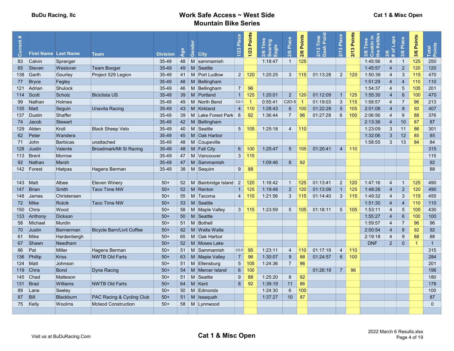| Current#   | <b>First Name Last Name</b> |                  | <b>Team</b>                      | <b>Division</b> | Age | ैं<br>혼<br>රී  | <b>City</b>                 | Place<br>1/23   | Points<br>1/23 | Time<br>Soaring<br>Eagle<br>2/6 | 2/6 Place          | Points<br>2/6 | õ<br>$\mathbf{a}$<br>2/13 T<br>Dash | Place<br>2/13   | Points<br>2/13 | 3/6 Time<br>Cookin in<br>the Kettles | Laps<br>৳<br>$\omega$<br>ले.<br>壮 | Place<br>3/6    | 3/6 Points | Total<br>Points |
|------------|-----------------------------|------------------|----------------------------------|-----------------|-----|----------------|-----------------------------|-----------------|----------------|---------------------------------|--------------------|---------------|-------------------------------------|-----------------|----------------|--------------------------------------|-----------------------------------|-----------------|------------|-----------------|
| 83         | Calvin                      | Spranger         |                                  | $35 - 49$       |     | 48 M           | sammamish                   |                 |                | 1:18:47                         | $\overline{1}$     | 125           |                                     |                 |                | 1:45:56                              | 4                                 | $\overline{1}$  | 125        | 250             |
| 65         | Steven                      | Westover         | Team Booger                      | 35-49           |     | $49$ M         | Seattle                     |                 |                |                                 |                    |               |                                     |                 |                | 1:45:57                              | $\overline{4}$                    | $\overline{2}$  | 120        | 120             |
| 138        | Garth                       | Gourley          | Project 529 Legion               | 35-49           |     | $41$ M         | <b>Port Ludlow</b>          | 2 <sup>1</sup>  | 120            | 1:20:25                         | 3                  | 115           | 01:13:28                            | $\overline{2}$  | 120            | 1:50:39                              | $\overline{4}$                    | 3               | 115        | 470             |
| 77         | <b>Bryce</b>                | Fegley           |                                  | 35-49           |     |                | 48   M Bellingham           |                 |                |                                 |                    |               |                                     |                 |                | 1:51:29                              | $\overline{4}$                    | $\overline{4}$  | 110        | 110             |
| 121        | Adrian                      | Shulock          |                                  | 35-49           |     | 46   M         | Bellingham                  | $\overline{7}$  | 96             |                                 |                    |               |                                     |                 |                | 1:54:37                              | $\overline{4}$                    | 5               | 105        | 201             |
| 114 Scott  |                             | Scholz           | <b>Biciclista US</b>             | 35-49           |     | $39$ M         | Portland                    | $\overline{1}$  | 125            | 1:20:01                         | $2^{\circ}$        | 120           | 01:12:09                            | $\mathbf{1}$    | 125            | 1:55:30                              | $\overline{4}$                    | $6\phantom{1}6$ | 100        | 470             |
| 99         | Nathan                      | Holmes           |                                  | 35-49           |     |                | 49   M   North Bend         | $C2-1$          |                | 0:55:41                         | C <sub>2</sub> O-5 | -1            | 01:19:03                            | $\mathbf{3}$    | 115            | 1:58:57                              | $\overline{4}$                    | $\overline{7}$  | 96         | 213             |
| $135$ Matt |                             | Seguin           | Unavita Racing                   | 35-49           |     |                | 43   M   Kirkland           | $\overline{4}$  | 110            | 1:28:43                         | $6\phantom{1}$     | 100           | 01:22:28                            | $5\phantom{.0}$ | 105            | 2:01:08                              | $\overline{4}$                    | 8               | 92         | 407             |
| 137        | Dustin                      | Shaffer          |                                  | 35-49           |     |                | 39   M Lake Forest Park   8 |                 | 92             | 1:36:44                         | $\overline{7}$     | 96            | 01:27:28                            | 6               | 100            | 2:06:56                              | $\overline{4}$                    | 9               | 88         | 376             |
| 74         | Jacob                       | <b>Stewart</b>   |                                  | 35-49           |     | $42 \mid M$    | Bellingham                  |                 |                |                                 |                    |               |                                     |                 |                | 2:13:36                              | $\overline{4}$                    | 10              | 87         | 87              |
| 129        | Alden                       | Kroll            | <b>Black Sheep Velo</b>          | 35-49           |     | $40$ M         | Seattle                     | 5               | 105            | 1:25:18                         | $\overline{4}$     | 110           |                                     |                 |                | 1:23:09                              | $\mathbf{3}$                      | 11              | 86         | 301             |
| 62         | Peter                       | Wandera          |                                  | 35-49           |     | $45 \mid M$    | <b>Oak Harbor</b>           |                 |                |                                 |                    |               |                                     |                 |                | 1:32:06                              | 3                                 | 12              | 85         | 85              |
| 71         | John                        | <b>Barbicas</b>  | unattached                       | $35 - 49$       |     |                | 48   M   Coupeville         |                 |                |                                 |                    |               |                                     |                 |                | 1:58:55                              | 3                                 | 13              | 84         | 84              |
| 128        | <b>Justin</b>               | Valente          | Broadmark/Mt Si Racing           | 35-49           |     |                | 48   M   Fall City          | 6 <sup>1</sup>  | 100            | 1:25:47                         | $5\overline{)}$    | 105           | 01:20:41                            | $\overline{4}$  | 110            |                                      |                                   |                 |            | 315             |
|            | 113 Brent                   | <b>Morrow</b>    |                                  | $35 - 49$       | 47  |                | M   Vancouver               | 3               | 115            |                                 |                    |               |                                     |                 |                |                                      |                                   |                 |            | 115             |
| 92         | Nathan                      | Marsh            |                                  | 35-49           |     | $47 \mid M$    | Sammamish                   |                 |                | 1:09:46                         | 8                  | 92            |                                     |                 |                |                                      |                                   |                 |            | 92              |
|            | 142 Forest                  | Hietpas          | Hagens Berman                    | 35-49           |     |                | 38 M Sequim                 | 9               | 88             |                                 |                    |               |                                     |                 |                |                                      |                                   |                 |            | 88              |
|            |                             |                  |                                  |                 |     |                |                             |                 |                |                                 |                    |               |                                     |                 |                |                                      |                                   |                 |            |                 |
| 143   Matt |                             | Albee            | Eleven Winery                    | $50+$           |     | $52 \mid M$    | Bainbridge Island           | $\overline{2}$  | 120            | 1:18:42                         | $\overline{1}$     | 125           | 01:13:41                            | $\overline{2}$  | 120            | 1:47:16                              | $\overline{4}$                    | $\overline{1}$  | 125        | 490             |
| 147        | Brian                       | <b>Smith</b>     | <b>Taco Time NW</b>              | $50+$           |     | $52 \mid M$    | Renton                      | $\overline{1}$  | 125            | 1:19:46                         | $\overline{2}$     | 120           | 01:13:09                            | $\mathbf{1}$    | 125            | 1:48:26                              | $\overline{4}$                    | $\overline{2}$  | 120        | 490             |
| 148        | James                       | Christensen      |                                  | $50+$           | 55  | M              | Tacoma                      | $\overline{4}$  | 110            | 1:21:56                         | 3                  | 115           | 01:14:40                            | 3               | 115            | 1:49:32                              | $\overline{4}$                    | 3               | 115        | 455             |
|            | 72 Mike                     | <b>Rolcik</b>    | <b>Taco Time NW</b>              | $50+$           |     | $53 \mid M$    | Seattle                     |                 |                |                                 |                    |               |                                     |                 |                | 1:51:30                              | $\overline{4}$                    | $\overline{4}$  | 110        | 110             |
|            | 150 Chris                   | Wood             |                                  | $50+$           |     |                | 58   M   Maple Valley       |                 | $3 \mid 115$   | 1:23:59                         | $5\phantom{.0}$    | 105           | 01:18:11                            | $5\overline{)}$ | 105            | 1:53:11                              | 4                                 | 5               | 105        | 430             |
|            | 133 Anthony                 | <b>Dickson</b>   |                                  | $50+$           |     | $50 \mid M$    | Seattle                     |                 |                |                                 |                    |               |                                     |                 |                | 1:55:27                              | $\overline{4}$                    | $6\phantom{1}6$ | 100        | 100             |
| 58         | Michael                     | Murdin           |                                  | $50+$           |     | $51$ M         | Bothell                     |                 |                |                                 |                    |               |                                     |                 |                | 1:59:57                              | $\overline{4}$                    | $\overline{7}$  | 96         | 96              |
| 70         | Justin                      | <b>Bannerman</b> | <b>Bicycle Barn/Livit Coffee</b> | $50+$           |     |                | 62   M   Walla Walla        |                 |                |                                 |                    |               |                                     |                 |                | 2:00:54                              | $\overline{4}$                    | 8               | 92         | 92              |
| 61         | <b>Mike</b>                 | Hardenbergh      |                                  | $50+$           | 65  |                | M Oak Harbor                |                 |                |                                 |                    |               |                                     |                 |                | 2:19:18                              | $\overline{4}$                    | 9               | 88         | 88              |
| 67         | Shawn                       | Needham          |                                  | $50+$           |     | $52 \mid M$    | <b>Moses Lake</b>           |                 |                |                                 |                    |               |                                     |                 |                | <b>DNF</b>                           | 2 <sup>2</sup>                    | $\Omega$        | -1         | $\overline{1}$  |
| 86         | Pat                         | Miller           | Hagens Berman                    | $50+$           | 51  | $\blacksquare$ | Sammamish                   | $C2-2$          | 95             | 1:23:11                         | $\overline{4}$     | 110           | 01:17:19                            | $\overline{4}$  | 110            |                                      |                                   |                 |            | 315             |
|            | 136 Phillip                 | <b>Kriss</b>     | <b>NWTB Old Farts</b>            | $50+$           | 63  |                | M   Maple Valley            | $7\overline{ }$ | 96             | 1:30:07                         | $\overline{9}$     | 88            | 01:24:57                            | $6\phantom{1}$  | 100            |                                      |                                   |                 |            | 284             |
| 124 Matt   |                             | Johnson          |                                  | $50+$           |     | $51 \mid M$    | Ellensburg                  | 5 <sup>5</sup>  | 105            | 1:24:36                         | $\overline{7}$     | 96            |                                     |                 |                |                                      |                                   |                 |            | 201             |
| 119        | Chris                       | <b>Bond</b>      | Dyna Racing                      | $50+$           | 54  |                | M Mercer Island             | $6^{\circ}$     | 100            |                                 |                    |               | 01:26:19                            | $\overline{7}$  | 96             |                                      |                                   |                 |            | 196             |
| 145        | Chad                        | Matteson         |                                  | $50+$           | 51  | M              | Seattle                     | 9               | 88             | 1:25:20                         | 8                  | 92            |                                     |                 |                |                                      |                                   |                 |            | 180             |
| 131        | Brad                        | Williams         | <b>NWTB Old Farts</b>            | $50+$           | 64  |                | M Kent                      | 8               | 92             | 1:39:19                         | 11                 | 86            |                                     |                 |                |                                      |                                   |                 |            | 178             |
| 89         | Lane                        | Seeley           |                                  | $50+$           | 50  | $\blacksquare$ | Edmonds                     |                 |                | 1:24:30                         | 6                  | 100           |                                     |                 |                |                                      |                                   |                 |            | 100             |
| 87         | <b>Bill</b>                 | <b>Blackburn</b> | PAC Racing & Cycling Club        | $50+$           |     |                | 51 M Issaquah               |                 |                | 1:37:27                         | 10                 | 87            |                                     |                 |                |                                      |                                   |                 |            | 87              |
| 75         | Kelly                       | Woolms           | <b>Mcleod Construction</b>       | $50+$           |     |                | 58   M Lynnwood             |                 |                |                                 |                    |               |                                     |                 |                |                                      |                                   |                 |            | $\Omega$        |
|            |                             |                  |                                  |                 |     |                |                             |                 |                |                                 |                    |               |                                     |                 |                |                                      |                                   |                 |            |                 |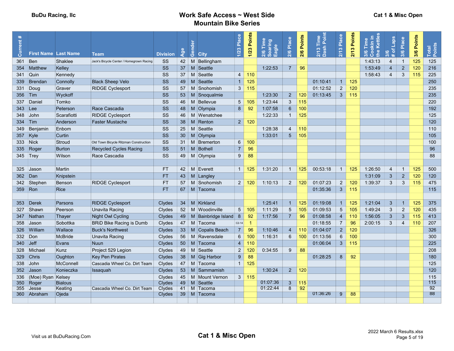|  |  |  | Cat 1 & Misc Open |
|--|--|--|-------------------|
|--|--|--|-------------------|

| $\ast$<br>Current | <b>First Name Last Name</b> |                  | <b>Team</b>                              | <b>Division</b> | Age         | Gend           | <b>City</b>                | Place<br>1/23  | Points<br>1/23 | 2/6 Time<br>Soaring<br>Eagle | 2/6 Place       | 2/6 Points | ಠ<br>듦<br>$\infty$<br>ິສັ ອຶ | Place<br>$2/13$ | Points<br>2/13 | Kettle<br>Time<br>Min i<br>Le<br>္ကိစိ | <b>Sder</b><br>$\sigma$<br>ဖ<br>ਨ | Place<br>3/6   | 3/6 Points | Total<br>Points |
|-------------------|-----------------------------|------------------|------------------------------------------|-----------------|-------------|----------------|----------------------------|----------------|----------------|------------------------------|-----------------|------------|------------------------------|-----------------|----------------|----------------------------------------|-----------------------------------|----------------|------------|-----------------|
| 361               | Ben                         | Shaklee          | Jack's Bicycle Center / Homegrown Racing | SS              | $42 \mid M$ |                | Bellingham                 |                |                |                              |                 |            |                              |                 |                | 1:43:13                                | 4                                 | $\overline{1}$ | 125        | 125             |
| 354               | ∣Matthew                    | Kelley           |                                          | SS              | $37$ M      |                | Seattle                    |                |                | 1:22:53                      | $\overline{7}$  | 96         |                              |                 |                | 1:53:49                                | $\overline{4}$                    | $\overline{2}$ | 120        | 216             |
| 341               | Quin                        | Kennedy          |                                          | SS              |             | $37$ M         | Seattle                    | 4 <sup>1</sup> | 110            |                              |                 |            |                              |                 |                | 1:58:43                                | $\overline{4}$                    | 3              | 115        | 225             |
| 339               | <b>Brendan</b>              | Connolly         | <b>Black Sheep Velo</b>                  | <b>SS</b>       |             | $49$ M         | Seattle                    | $\mathbf{1}$   | 125            |                              |                 |            | 01:10:41                     | $\mathbf{1}$    | 125            |                                        |                                   |                |            | 250             |
| 331               | Doug                        | Graver           | <b>RIDGE Cyclesport</b>                  | SS              | 57          | M              | Snohomish                  | 3              | 115            |                              |                 |            | 01:12:52                     | $\overline{2}$  | 120            |                                        |                                   |                |            | 235             |
|                   | 356 Tim                     | Wyckoff          |                                          | SS              |             | $53 \mid M$    | Snoqualmie                 |                |                | 1:23:30                      | $\overline{2}$  | 120        | 01:13:45                     | $\mathbf{3}$    | 115            |                                        |                                   |                |            | 235             |
| 337               | Daniel                      | Tomko            |                                          | SS              | 46          | $\blacksquare$ | Bellevue                   | 5 <sup>5</sup> | 105            | 1:23:44                      | $\mathbf{3}$    | 115        |                              |                 |                |                                        |                                   |                |            | 220             |
| 343               | Lee                         | Peterson         | Race Cascadia                            | SS              | 48 M        |                | Olympia                    | 8              | 92             | 1:07:58                      | $6\phantom{a}6$ | 100        |                              |                 |                |                                        |                                   |                |            | 192             |
| 348               | John                        | Scarafiotti      | <b>RIDGE Cyclesport</b>                  | SS              |             |                | 46   M   Wenatchee         |                |                | 1:22:33                      | $\overline{1}$  | 125        |                              |                 |                |                                        |                                   |                |            | 125             |
|                   | $334$ Tim                   | Anderson         | <b>Faster Mustache</b>                   | <b>SS</b>       |             | $38$ M         | Renton                     |                | $2 \mid 120$   |                              |                 |            |                              |                 |                |                                        |                                   |                |            | 120             |
| 349               | Benjamir                    | Enbom            |                                          | SS              |             | $25 \mid M$    | Seattle                    |                |                | 1:28:38                      | $\overline{4}$  | 110        |                              |                 |                |                                        |                                   |                |            | 110             |
|                   | 357   Kyle                  | Curtin           |                                          | <b>SS</b>       | $30 \mid M$ |                | Olympia                    |                |                | 1:33:01                      | $5\phantom{1}$  | 105        |                              |                 |                |                                        |                                   |                |            | 105             |
|                   | 333 Nick                    | Stroud           | Old Town Bicycle Ritzman Construction    | SS              | $31$ M      |                | Bremerton                  | 6              | 100            |                              |                 |            |                              |                 |                |                                        |                                   |                |            | 100             |
| 335               | Roger                       | <b>Burton</b>    | <b>Recycled Cycles Racing</b>            | SS              |             | $51$ M         | Bothell                    | $\overline{7}$ | 96             |                              |                 |            |                              |                 |                |                                        |                                   |                |            | 96              |
|                   | $345$ Trey                  | Wilson           | Race Cascadia                            | SS              |             |                | 49   M   Olympia           | 9              | 88             |                              |                 |            |                              |                 |                |                                        |                                   |                |            | 88              |
|                   |                             |                  |                                          |                 |             |                |                            |                |                |                              |                 |            |                              |                 |                |                                        |                                   |                |            |                 |
| 325               | <b>Jason</b>                | <b>Martin</b>    |                                          | <b>FT</b>       |             |                | 42 M Everett               | 1 <sup>1</sup> | 125            | 1:31:20                      | $\overline{1}$  | 125        | 00:53:18                     | $\mathbf{1}$    | 125            | 1:26:50                                | $\overline{4}$                    | $\overline{1}$ | 125        | 500             |
| 362               | $\Box$ Dan                  | Knipstein        |                                          | <b>FT</b>       |             |                | 43 M Langley               |                |                |                              |                 |            |                              |                 |                | 1:31:09                                | $\mathbf{3}$                      | $\sqrt{2}$     | 120        | 120             |
| 342               | Stephen                     | <b>Benson</b>    | <b>RIDGE Cyclesport</b>                  | <b>FT</b>       | 57          | M              | Snohomish                  | $\overline{2}$ | 120            | 1:10:13                      | $\overline{2}$  | 120        | 01:07:23                     | $\overline{2}$  | 120            | 1:39:37                                | $\mathfrak{S}$                    | 3              | 115        | 475             |
|                   | 359 Ron                     | <b>Rice</b>      |                                          | <b>FT</b>       | 67          |                | M Tacoma                   |                |                |                              |                 |            | 01:35:36                     | 3               | 115            |                                        |                                   |                |            | 115             |
|                   |                             |                  |                                          |                 |             |                |                            |                |                |                              |                 |            |                              |                 |                |                                        |                                   |                |            |                 |
|                   | 353 Derek                   | Parsons          | <b>RIDGE Cyclesport</b>                  | Clydes          |             |                | 34 M Kirkland              |                |                | 1:25:41                      | $\overline{1}$  | 125        | 01:19:08                     | $\overline{1}$  | 125            | 1:21:04                                | $\mathbf{3}$                      | $\overline{1}$ | 125        | 375             |
| 327               | Shawn                       | Peerson          | Unavita Racing                           | Clydes          |             |                | 52   M   Woodinville       | 5 <sup>5</sup> | 105            | 1:11:29                      | $5\phantom{.0}$ | 105        | 01:09:53                     | 5               | 105            | 1:49:24                                | 3                                 | 2              | 120        | 435             |
| 347               | Nathan                      | Thayer           | Night Owl Cycling                        | Clydes          |             |                | 49   M   Bainbridge Island | 8              | 92             | 1:17:56                      | $\overline{7}$  | 96         | 01:08:58                     | $\overline{4}$  | 110            | 1:56:05                                | $\mathbf{3}$                      | 3              | 115        | 413             |
| 358               | ∃ason                       | Sobottka         | <b>BRiD Bike Racing is Dumb</b>          | Clydes          |             |                | 47   M Tacoma              | $C2-14$        |                |                              |                 |            | 01:18:55                     | $\overline{7}$  | 96             | 2:00:15                                | 3                                 | $\overline{4}$ | 110        | 207             |
| 326               | William                     | Wallace          | <b>Buck's Northwest</b>                  | Clydes          |             |                | 33   M Copalis Beach       | $\overline{7}$ | 96             | 1:10:46                      | $\overline{4}$  | 110        | 01:04:07                     | $\overline{2}$  | 120            |                                        |                                   |                |            | 326             |
| 332               | Don                         | <b>McBride</b>   | Unavita Racing                           | Clydes          |             |                | 56 M Ravensdale            | 6              | 100            | 1:16:31                      | 6               | 100        | 01:13:56                     | 6               | 100            |                                        |                                   |                |            | 300             |
| 340               | $\vert$ Jeff                | Evans            | <b>Nuun</b>                              | Clydes          |             |                | 50 M Tacoma                | $\overline{4}$ | 110            |                              |                 |            | 01:06:04                     | $\mathbf{3}$    | 115            |                                        |                                   |                |            | 225             |
| 328               | Michael                     | Kunz             | Project 529 Legion                       | Clydes          |             |                | 49 M Seattle               | $\overline{2}$ | 120            | 0:34:55                      | 9               | 88         |                              |                 |                |                                        |                                   |                |            | 208             |
| 329               | Chris                       | Oughton          | <b>Key Pen Pirates</b>                   | Clydes          |             |                | 38   M Gig Harbor          | 9              | 88             |                              |                 |            | 01:28:25                     | 8               | 92             |                                        |                                   |                |            | 180             |
| 338               | John                        | <b>McConnell</b> | Cascadia Wheel Co. Dirt Team             | Clydes          | 47          |                | M Tacoma                   | $\overline{1}$ | 125            |                              |                 |            |                              |                 |                |                                        |                                   |                |            | 125             |
| 352               | Jason                       | Konieczka        | Issaquah                                 | <b>Clydes</b>   |             |                | 53 M Sammamish             |                |                | 1:30:24                      | $\overline{2}$  | 120        |                              |                 |                |                                        |                                   |                |            | 120             |
| 336               | (Moe) Ryan Kelsey           |                  |                                          | <b>Clydes</b>   |             |                | 45   M   Mount Vernon      |                | 3   115        |                              |                 |            |                              |                 |                |                                        |                                   |                |            | 115             |
| 350               | Roger                       | <b>Bialous</b>   |                                          | <b>Clydes</b>   | $49 \mid M$ |                | Seattle                    |                |                | 01:07:36                     | $\overline{3}$  | 115        |                              |                 |                |                                        |                                   |                |            | 115             |
| 355               | <b>Jesse</b>                | Keating          | Cascadia Wheel Co. Dirt Team             | Clydes          | $41 \mid M$ |                | Tacoma                     |                |                | 01:22:44                     | 8               | 92         |                              |                 |                |                                        |                                   |                |            | 92<br>88        |
|                   | 360 Abraham                 | Ojeda            |                                          | <b>Clydes</b>   |             |                | 39   M   Tacoma            |                |                |                              |                 |            | 01:36:26                     | 9               | 88             |                                        |                                   |                |            |                 |
|                   |                             |                  |                                          |                 |             |                |                            |                |                |                              |                 |            |                              |                 |                |                                        |                                   |                |            |                 |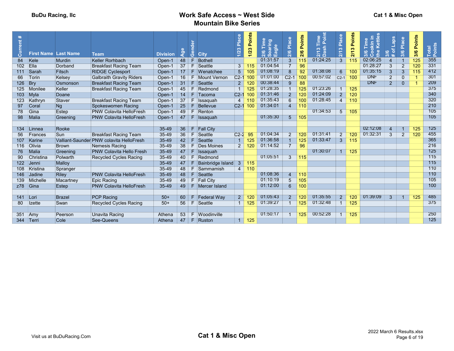| $ \vec{a} $<br>-ā | <b>First Name Last Name</b> |               | <b>Team</b>                              | <b>Division</b> | <b>P</b> | ්රී | <b>City</b>              | Place<br>1/23  | Points<br>1/23 | E<br>aring<br>Soarin<br>Eagle<br>2/6 | Place<br>2/6          | Points<br>2/6   | 3 Time<br>sh Point<br>$\infty$<br><b>ដី ខឺ</b> | Place<br>$\infty$<br>$\frac{2}{1}$ | Points<br>S<br>$\frac{2}{10}$ | <b>Kettle</b><br>lime<br>Kin i<br>tte<br>న్<br>Ö | aps<br>$\frac{8}{3}$ $\frac{6}{3}$ | Place<br>3/6   | <b>Points</b><br>3/6 | Total<br>Points |
|-------------------|-----------------------------|---------------|------------------------------------------|-----------------|----------|-----|--------------------------|----------------|----------------|--------------------------------------|-----------------------|-----------------|------------------------------------------------|------------------------------------|-------------------------------|--------------------------------------------------|------------------------------------|----------------|----------------------|-----------------|
| 84                | Kele                        | <b>Murdin</b> | <b>Keller Rorhbach</b>                   | Open-1          | 48       |     | Bothell                  |                |                | 01:31:57                             | $\overline{3}$        | 115             | 01:24:25                                       | $\overline{3}$                     | 115                           | 02:06:25                                         | $\boldsymbol{\varDelta}$           |                | 125                  | 355             |
| 102               | Ella                        | Dorband       | <b>Breakfast Racing Team</b>             | Open-1          | 37       | F.  | Seattle                  | 3              | 115            | 01:04:54                             |                       | 96              |                                                |                                    |                               | 01:28:27                                         | $\overline{3}$                     | $\overline{2}$ | 120                  | 331             |
| 111               | Sarah                       | Fitsch        | <b>RIDGE Cyclesport</b>                  | Open-1          | 17       | F.  | Wenatchee                | 5 <sup>5</sup> | 105            | 01:08:19                             | $\mathbf{8}$          | 92              | 01:38:08                                       | 6                                  | 100                           | 01:35:15                                         | $\overline{3}$                     | 3              | 115                  | 412             |
| 66                | Torin                       | Kelsey        | <b>Galbraith Gravity Riders</b>          | Open-1          | 16       | F.  | <b>Mount Vernon</b>      | $C2-1$         |                | 01:01:00                             | $C2-1$                | 10 <sub>C</sub> | 00:57:02                                       | $C2-1$                             | 100                           | <b>DNF</b>                                       | $\overline{2}$                     | $\mathbf{0}$   |                      | 301             |
| 126               | Bry                         | Osmonson      | <b>Breakfast Racing Team</b>             | Open-1          | 31       | F   | Seattle                  | 2 <sup>1</sup> | 120            | 00:38:44                             | $\mathbf{Q}$          | 88              |                                                |                                    |                               | <b>DNF</b>                                       | $\overline{2}$                     | $\Omega$       |                      | 209             |
| 125               | Monilee                     | Keller        | <b>Breakfast Racing Team</b>             | Open-1          | 45       | F.  | Redmond                  | $\overline{1}$ | 125            | 01:28:35                             |                       | 125             | 01:23:26                                       |                                    | 125                           |                                                  |                                    |                |                      | 375             |
| 103               | $M$ yla                     | Doane         |                                          | Open-1          | 14       | F.  | Tacoma                   | $C2-1$         |                | 01:31:46                             | $\mathcal{P}$         | 12 <sub>C</sub> | 01:24:09                                       | $\overline{2}$                     | 120                           |                                                  |                                    |                |                      | 340             |
| 123               | Kathryn                     | Staver        | <b>Breakfast Racing Team</b>             | Open-1          | 37       | F.  | <b>Issaquah</b>          | $\overline{4}$ | 110            | 01:35:43                             | 6                     | 10 <sup>c</sup> | 01:28:45                                       | $\overline{4}$                     | 110                           |                                                  |                                    |                |                      | 320             |
| 97                | Coral                       | Ng            | Spokeswomen Racing                       | Open-1          | 25       | F   | Bellevue                 | $C2-1$         | 100            | 01:34:01                             | $\overline{4}$        | 110             |                                                |                                    |                               |                                                  |                                    |                |                      | 210             |
| 78                | Gina                        | Estep         | <b>PNW Colavita HelloFresh</b>           | Open-1          | 49       | F.  | Renton                   |                |                |                                      |                       |                 | 01:34:53                                       | $5\overline{)}$                    | 105                           |                                                  |                                    |                |                      | 105             |
| 98                | Malia                       | Greening      | <b>PNW Colavita HelloFresh</b>           | Open-1          | 47       | F.  | <b>Issaquah</b>          |                |                | 01:35:30                             | $5\overline{)}$       | 105             |                                                |                                    |                               |                                                  |                                    |                |                      | 105             |
|                   |                             |               |                                          |                 |          |     |                          |                |                |                                      |                       |                 |                                                |                                    |                               |                                                  |                                    |                |                      |                 |
| 134               | Linnea                      | Rooke         |                                          | 35-49           | 36       | F.  | <b>Fall City</b>         |                |                |                                      |                       |                 |                                                |                                    |                               | 02:12:08                                         | $\overline{4}$                     |                | 125                  | 125             |
| 56                | Frances                     | Sun           | <b>Breakfast Racing Team</b>             | $35 - 49$       | 36       | F   | Seattle                  | $C2-2$         | QF             | 01:04:34                             | $\overline{2}$        | 120             | 01:31:41                                       | $\overline{2}$                     | 120                           | 01:32:31                                         | $\overline{3}$                     | $\overline{2}$ | 120                  | 455             |
| 107               | Karine                      |               | Valliant-Saunder PNW colavita HelloFresh | 35-49           | 42       |     | Seattle                  | $\mathbf{1}$   |                | 01:36:58                             |                       | 125             | 01:33:47                                       | $\overline{3}$                     | 115                           |                                                  |                                    |                |                      | 365             |
| 116               | Olivia                      | <b>Brown</b>  | Nemesis Racing                           | $35 - 49$       | 38       | F   | <b>Des Moines</b>        | $\overline{2}$ | 120            | 01:14:52                             | $\overline{7}$        | 96              |                                                |                                    |                               |                                                  |                                    |                |                      | 216             |
| 76                | <b>Malia</b>                | Greening      | <b>PNW Colavita Hello Fresh</b>          | $35 - 49$       | 47       | F   | <b>Issaguah</b>          |                |                |                                      |                       |                 | 01:30:07                                       | $\overline{1}$                     | 125                           |                                                  |                                    |                |                      | 125             |
| 90                | Christina                   | Polwarth      | <b>Recycled Cycles Racing</b>            | $35 - 49$       | 40       | F.  | Redmond                  |                |                | 01:05:51                             | 3                     | 115             |                                                |                                    |                               |                                                  |                                    |                |                      | 115             |
| 122               | ∃Jenni                      | Malloy        |                                          | $35 - 49$       | 47       |     | <b>Bainbridge Island</b> | $\mathbf{3}$   | 115            |                                      |                       |                 |                                                |                                    |                               |                                                  |                                    |                |                      | 115             |
| 108               | Kristina                    | Spranger      |                                          | $35 - 49$       | 48       | F.  | Sammamish                | $4 \vert$      | 110            |                                      |                       |                 |                                                |                                    |                               |                                                  |                                    |                |                      | 110             |
| 146               | Jadine                      | <b>Riley</b>  | <b>PNW Colavita HelloFresh</b>           | $35 - 49$       | 48       | F.  | Seattle                  |                |                | 01:08:36                             | $\boldsymbol{\Delta}$ | 110             |                                                |                                    |                               |                                                  |                                    |                |                      | 110             |
| 139               | Michelle                    | Macartney     | <b>Epic Racing</b>                       | 35-49           | 49       |     | F Fall City              |                |                | 01:10:19                             | 5                     | 105             |                                                |                                    |                               |                                                  |                                    |                |                      | 105             |
|                   | $z78$ Gina                  | Estep         | <b>PNW Colavita HelloFresh</b>           | 35-49           | 49       | F.  | Mercer Island            |                |                | 01:12:00                             | 6                     | 100             |                                                |                                    |                               |                                                  |                                    |                |                      | 100             |
|                   |                             |               |                                          |                 |          |     |                          |                |                |                                      |                       |                 |                                                |                                    |                               |                                                  |                                    |                |                      |                 |
| 141               | Lori                        | <b>Brazel</b> | <b>PCP Racing</b>                        | $50+$           | 60       | F.  | <b>Federal Way</b>       | 2 <sup>1</sup> | 120            | 01:05:43                             | $\overline{2}$        | 12C             | 01:35:55                                       | 2 <sup>1</sup>                     | 120                           | 01:39:09                                         | $\mathbf{3}$                       |                | 125                  | 485             |
| 80                | Izette                      | Swan          | <b>Recycled Cycles Racing</b>            | $50+$           | 56       | F   | Seattle                  | 1              | 125            | 01:39:27                             |                       | 125             | 01:32:48                                       | $\mathbf{1}$                       | 125                           |                                                  |                                    |                |                      | 375             |
|                   |                             |               |                                          |                 |          |     |                          |                |                |                                      |                       |                 |                                                |                                    |                               |                                                  |                                    |                |                      |                 |
| 351               | Amy                         | Peerson       | Unavita Racing                           | Athena          | 53       | F.  | Woodinville              |                |                | 01:50:17                             |                       | 125             | 00:52:28                                       | $\mathbf{1}$                       | 125                           |                                                  |                                    |                |                      | 250             |
|                   | 344 Terri                   | Cole          | See-Queens                               | Athena          | 47       | F.  | Ruston                   |                | $1 \vert 125$  |                                      |                       |                 |                                                |                                    |                               |                                                  |                                    |                |                      | 125             |
|                   |                             |               |                                          |                 |          |     |                          |                |                |                                      |                       |                 |                                                |                                    |                               |                                                  |                                    |                |                      |                 |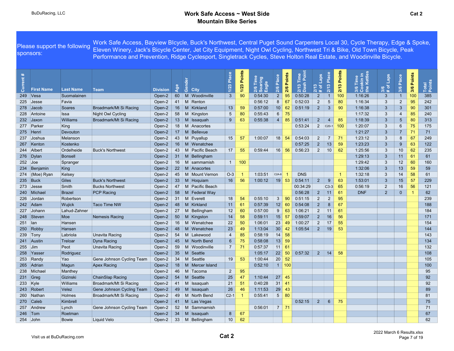|                      | sponsors:         | Please support the following | Work Safe Access, Bayview Blcycle, Buck's Northwest, Central Puget Sound Carpenters Local 30, Cycle Therapy, Edge & Spoke,<br>Eleven Winery, Jack's Bicycle Center, Jet City Equipment, Night Owl Cycling, Northwest Tri & Bike, Old Town Bicycle, Peak<br>Performance and Prevention, Ridge Cyclesport, Singletrack Cycles, Steve Holton Real Estate, and Woodinville Bicycle. |                 |                 |                   |                         |             |                                 |                 |               |                                      |                                   |                        |                                                   |                                                   |                              |                 |            |                 |
|----------------------|-------------------|------------------------------|---------------------------------------------------------------------------------------------------------------------------------------------------------------------------------------------------------------------------------------------------------------------------------------------------------------------------------------------------------------------------------|-----------------|-----------------|-------------------|-------------------------|-------------|---------------------------------|-----------------|---------------|--------------------------------------|-----------------------------------|------------------------|---------------------------------------------------|---------------------------------------------------|------------------------------|-----------------|------------|-----------------|
| $\ast$<br>rent<br>దె | <b>First Name</b> | <b>Last Name</b>             | <b>Team</b>                                                                                                                                                                                                                                                                                                                                                                     | <b>Division</b> | ₹               | රී<br><b>City</b> | $\frac{a}{2}$<br>$1/23$ | 1/23 Points | Time<br>Soaring<br>Eagle<br>2/6 | Place<br>2/6    | Points<br>2/6 | nio<br>A<br>Time<br>$2/13$ T<br>Dash | <b>Sden</b><br>$2/13$<br># of $ $ | Place<br>2/13          | Points<br>$\boldsymbol{\varpi}$<br>2 <sub>1</sub> | okin ir<br>» Kettle<br>Time<br>$rac{1}{2}$<br>3/6 | <b>Sden</b><br>$3/6$<br># of | Place<br>3/6    | 3/6 Points | Total<br>Points |
|                      | $249$ Vesa        | Suomalainen                  |                                                                                                                                                                                                                                                                                                                                                                                 | Open-2          | 60              | M Woodinville     | $\mathbf{3}$            | 90          | 0:54:30                         | $2^{\circ}$     | 95            | 0:50:28                              | $\overline{2}$                    | $\overline{1}$         | 100                                               | 1:16:26                                           | $\mathbf{3}$                 | $\mathbf{1}$    | 100        | 385             |
|                      | $225$ Jesse       | Favia                        |                                                                                                                                                                                                                                                                                                                                                                                 | Open-2          | 41              | M Renton          |                         |             | 0:56:12                         | 8               | 67            | 0:52:03                              | $\overline{2}$                    | 5                      | 80                                                | 1:16:34                                           | 3                            | $\overline{2}$  | 95         | 242             |
| 278                  | $ $ Jacob         | Soares                       | Broadmark/Mt Si Racing                                                                                                                                                                                                                                                                                                                                                          | Open-2          | 16              | M Kirkland        | 13                      | 59          | 0:57:00                         | 10              | 62            | 0:51:19                              | $\overline{2}$                    | $\mathbf{3}$           | 90                                                | 1:16:38                                           | $\mathbf{3}$                 | $\mathbf{3}$    | 90         | 301             |
| 228                  | Antoine           | Issa                         | Night Owl Cycling                                                                                                                                                                                                                                                                                                                                                               | Open-2          | 58              | M Kingston        | 5                       | 80          | 0:55:43                         | $6\overline{6}$ | 75            |                                      |                                   |                        |                                                   | 1:17:32                                           | 3                            | 4               | 85         | 240             |
| 232                  | ∣Jaxon            | Williams                     | Broadmark/Mt Si Racing                                                                                                                                                                                                                                                                                                                                                          | Open-2          | 13              | M Issaquah        | 9                       | 63          | 0:55:38                         | 4               | 85            | 0:51:41                              | $\overline{2}$                    | $\overline{4}$         | 85                                                | 1:18:39                                           | $\mathbf{3}$                 | 5               | 80         | 313             |
|                      | 277 Parker        | King                         |                                                                                                                                                                                                                                                                                                                                                                                 | Open-2          | 18              | M Anacortes       |                         |             |                                 |                 |               | 0:53:24                              | $2^{\circ}$                       | $ $ C <sub>20</sub> -1 | 100                                               | 1:20:07                                           | 3                            | 6               | 75         | 175             |
|                      | 275   Henri       | Devouton                     |                                                                                                                                                                                                                                                                                                                                                                                 | Open-2          | 17 <sup>2</sup> | M Bellevue        |                         |             |                                 |                 |               |                                      |                                   |                        |                                                   | 1:21:27                                           | 3                            | $\overline{7}$  | 71         | 71              |
| 237                  | ∃Joshua           | Melanson                     |                                                                                                                                                                                                                                                                                                                                                                                 | Open-2          | 43              | M Puyallup        | 15                      | -57         | 1:00:07                         | 18              | 54            | 0:54:03                              | $\overline{2}$                    | $\overline{7}$         | 71                                                | 1:23:12                                           | 3                            | 8               | 67         | 249             |
|                      | 267 Kenton        | Kostenko                     |                                                                                                                                                                                                                                                                                                                                                                                 | Open-2          | 16              | M Wenatchee       |                         |             |                                 |                 |               | 0:57:25                              | $\overline{2}$                    | 13                     | 59                                                | 1:23:23                                           | $\mathbf{3}$                 | 9               | 63         | 122             |
|                      | 244 Albert        | Ordelheide                   | <b>Buck's Northwest</b>                                                                                                                                                                                                                                                                                                                                                         | Open-2          | 43              | M Pacific Beach   | 17                      | 55          | 0:59:44                         |                 | $16 \mid 56$  | 0:56:23                              | $\overline{2}$                    | 10                     | 62                                                | 1:25:56                                           | 3                            | 10 <sup>°</sup> | 62         | 235             |
|                      | 276   Dylan       | <b>Bonsell</b>               |                                                                                                                                                                                                                                                                                                                                                                                 | Open-2          | 31              | M Bellingham      |                         |             |                                 |                 |               |                                      |                                   |                        |                                                   | 1:29:13                                           | $\overline{3}$               | 11              | 61         | 61              |
| $252$ Joe            |                   | Spranger                     |                                                                                                                                                                                                                                                                                                                                                                                 | Open-2          | 16              | M sammamish       | $\overline{1}$          | 100         |                                 |                 |               |                                      |                                   |                        |                                                   | 1:29:42                                           | 3                            | 12 <sup>2</sup> | 60         | 160             |
|                      | 234 Benjamin      | King                         |                                                                                                                                                                                                                                                                                                                                                                                 | Open-2          | 22              | M Anacortes       |                         |             |                                 |                 |               |                                      |                                   |                        |                                                   | 1:32:06                                           | $\mathbf{3}$                 | 13              | 59         | 59              |
|                      | 274 (Moe) Ryan    | Kelsey                       |                                                                                                                                                                                                                                                                                                                                                                                 | Open-2          | 45              | M   Mount Vernon  | $O-3$                   | -1          | 1:03:51                         | $C2A-8$         |               | <b>DNS</b>                           |                                   |                        | $\overline{1}$                                    | 1:32:18                                           | 3                            | 14              | 58         | 61              |
|                      | $235$ Buck        | Giles                        | <b>Buck's Northwest</b>                                                                                                                                                                                                                                                                                                                                                         | Open-2          | 33              | M Hoquiam         | 16                      | 56          | 1:00:12                         | 19              | 53            | 0:54:11                              | $\overline{2}$                    | 9                      | 63                                                | 1:53:01                                           | 3                            | 15              | 57         | 229             |
|                      | $273$ Jesse       | Smith                        | <b>Bucks Northwest</b>                                                                                                                                                                                                                                                                                                                                                          | Open-2          | 47              | M Pacific Beach   |                         |             |                                 |                 |               | 00:34:29                             |                                   | $C3-3$                 | 65                                                | 0:56:19                                           | $\overline{2}$               | 16              | 56         | 121             |
|                      | 240 Michael       | <b>Brazel</b>                | PCP Racing                                                                                                                                                                                                                                                                                                                                                                      | Open-2          | 58              | M Federal Way     |                         |             |                                 |                 |               | 0:56:28                              | $2^{\circ}$                       | 11                     | 61                                                | <b>DNF</b>                                        | $\overline{2}$               | $\mathbf{0}$    |            | 62              |
| 226                  | Jordan            | Robertson                    |                                                                                                                                                                                                                                                                                                                                                                                 | Open-2          | 31              | M Everett         | 18                      | 54          | 0:55:10                         | $\mathbf{3}$    | 90            | 0:51:15                              | $\overline{2}$                    | $\overline{2}$         | 95                                                |                                                   |                              |                 |            | 239             |
|                      | 242 Adam          | Wujick                       | <b>Taco Time NW</b>                                                                                                                                                                                                                                                                                                                                                             | Open-2          | 48              | M Kirkland        | 11                      | 61          | 0:57:39                         | 12              | -60           | 0:54:08                              | $\overline{2}$                    | $8\phantom{1}$         | 67                                                |                                                   |                              |                 |            | 188             |
| 227                  | Johann            | Lahud-Zahner                 |                                                                                                                                                                                                                                                                                                                                                                                 | Open-2          | 27              | M Bellingham      | 12                      | 60          | 0:57:00                         | 9               | 63            | 1:06:21                              | $\overline{2}$                    | 11                     | 61                                                |                                                   |                              |                 |            | 184             |
|                      | 248 Steven        | Moe                          | <b>Nemesis Racing</b>                                                                                                                                                                                                                                                                                                                                                           | Open-2          | 50              | M Kingston        | 14                      | 58          | 0:59:11                         | 15              | -57           | 0:59:07                              | $2^{\circ}$                       | 16                     | 56                                                |                                                   |                              |                 |            | 171             |
| $251$   lan          |                   | Hansen                       |                                                                                                                                                                                                                                                                                                                                                                                 | Open-2          | 16              | M Wenatchee       | 22                      | 50          | 1:06:01                         | 23              | 49            | 1:00:27                              | $2^{\circ}$                       | 17                     | 55                                                |                                                   |                              |                 |            | 154             |
|                      | 250 Robby         | Hansen                       |                                                                                                                                                                                                                                                                                                                                                                                 | Open-2          | 48              | M Wenatchee       | 23                      | 49          | 1:13:04                         | 30              | 42            | 1:05:54                              | $2^{\circ}$                       | 19                     | 53                                                |                                                   |                              |                 |            | 144             |
|                      | $239$ Tony        | Labriola                     | Unavita Racing                                                                                                                                                                                                                                                                                                                                                                  | Open-2          | 54              | M Lakewood        | $\overline{4}$          | 85          | 0:58:19                         |                 | $14 \mid 58$  |                                      |                                   |                        |                                                   |                                                   |                              |                 |            | 143             |
|                      | 241 Austin        | Treloar                      | Dyna Racing                                                                                                                                                                                                                                                                                                                                                                     | Open-2          | 45              | M North Bend      | 6                       | 75          | 0:58:08                         |                 | $13 \mid 59$  |                                      |                                   |                        |                                                   |                                                   |                              |                 |            | 134             |
| $255$ Jim            |                   | Peot                         | Unavita Racing                                                                                                                                                                                                                                                                                                                                                                  | Open-2          | 59              | M Woodinville     | $\overline{7}$          | 71          | 0:57:37                         |                 | $11 \mid 61$  |                                      |                                   |                        |                                                   |                                                   |                              |                 |            | 132             |
|                      | 258 Yasser        | Rodriguez                    |                                                                                                                                                                                                                                                                                                                                                                                 | Open-2          | 35              | M Seattle         |                         |             | 1:05:17                         |                 | $22 \mid 50$  | 0:57:32                              | $\overline{2}$                    | 14                     | 58                                                |                                                   |                              |                 |            | 108             |
| 253                  | ∣Randy            | Yao                          | Gene Johnson Cycling Team                                                                                                                                                                                                                                                                                                                                                       | Open-2          | 34              | M Seattle         | 19                      | 53          | 1:00:44                         |                 | $20 \mid 52$  |                                      |                                   |                        |                                                   |                                                   |                              |                 |            | 105             |
|                      | 265 Adrian        | Magun                        | <b>Apex Racing</b>                                                                                                                                                                                                                                                                                                                                                              | Open-2          | 18              | M Mercer Island   |                         |             | 0:52:10                         |                 | $1 \vert 100$ |                                      |                                   |                        |                                                   |                                                   |                              |                 |            | 100             |
| 238                  | Michael           | Manthey                      |                                                                                                                                                                                                                                                                                                                                                                                 | Open-2          | 46              | M Tacoma          | $\overline{2}$          | 95          |                                 |                 |               |                                      |                                   |                        |                                                   |                                                   |                              |                 |            | 95              |
|                      | 231 $ Greg$       | Gizinski                     | <b>ChainSlap Racing</b>                                                                                                                                                                                                                                                                                                                                                         | Open-2          | 54              | $M$ Seattle       | 25                      | 47          | 1:10:44                         | 27              | 45            |                                      |                                   |                        |                                                   |                                                   |                              |                 |            | 92              |
|                      | $233$ Kyle        | Williams                     | Broadmark/Mt Si Racing                                                                                                                                                                                                                                                                                                                                                          | Open-2          | 41              | M Issaquah        | 21                      | 51          | 0:40:28                         | $31 \mid 41$    |               |                                      |                                   |                        |                                                   |                                                   |                              |                 |            | 92              |
|                      | 243 Robert        | Velez                        | Gene Johnson Cycling Team                                                                                                                                                                                                                                                                                                                                                       | Open-2          | 49              | M Issaguah        | 26                      | 46          | 1:11:53                         | 29              | 43            |                                      |                                   |                        |                                                   |                                                   |                              |                 |            | 89              |
| 260                  | ∣Nathan           | Holmes                       | Broadmark/Mt Si Racing                                                                                                                                                                                                                                                                                                                                                          | Open-2          | 49              | M North Bend      | $C2-1$                  | -1          | 0:55:41                         | 5 <sup>5</sup>  | 80            |                                      |                                   |                        |                                                   |                                                   |                              |                 |            | 81              |
|                      | 270 Caleb         | Kimbrell                     |                                                                                                                                                                                                                                                                                                                                                                                 | Open-2          | 41              | M Las Vegas       |                         |             |                                 |                 |               | 0:52:15                              | $\overline{2}$                    | $6\phantom{1}$         | 75                                                |                                                   |                              |                 |            | 75              |
|                      | 257 Andrew        | Lynch                        | Gene Johnson Cycling Team                                                                                                                                                                                                                                                                                                                                                       | Open-2          | 52              | M Sammamish       |                         |             | 0:56:01                         |                 | $7 \mid 71$   |                                      |                                   |                        |                                                   |                                                   |                              |                 |            | 71              |
|                      | $246$ Tom         | Roetman                      |                                                                                                                                                                                                                                                                                                                                                                                 | Open-2          | 34              | M Issaguah        | 8                       | 67          |                                 |                 |               |                                      |                                   |                        |                                                   |                                                   |                              |                 |            | 67              |
|                      | 254 John          | <b>Bowie</b>                 | <b>Liquid Velo</b>                                                                                                                                                                                                                                                                                                                                                              | Open-2          | 33              | M Bellingham      | 10 <sup>°</sup>         | 62          |                                 |                 |               |                                      |                                   |                        |                                                   |                                                   |                              |                 |            | 62              |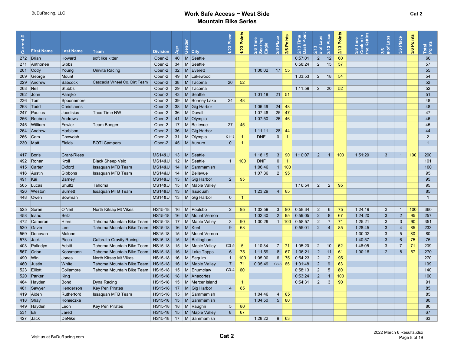|           |                       |                    |                                 |                   |     |                          | Place           | Points          | Time                            | Place              | Points         | Time         | Laps             | Place           | Points | kin i<br>Kettl | Laps           | Place           | 3/6 Points |                 |  |
|-----------|-----------------------|--------------------|---------------------------------|-------------------|-----|--------------------------|-----------------|-----------------|---------------------------------|--------------------|----------------|--------------|------------------|-----------------|--------|----------------|----------------|-----------------|------------|-----------------|--|
|           |                       |                    |                                 |                   | Age |                          | 1/23            | 1/23            | Soaring<br>Eagle<br>$rac{8}{3}$ | 2/6                | 2/6            | Dash<br>2/13 | $\frac{8}{5}$    | 2/13            | 2/13   | $\bullet$      | ৳              | 3/6             |            | Total<br>Points |  |
| ā         | <b>First Name</b>     | <b>Last Name</b>   | <b>Team</b>                     | <b>Division</b>   |     | මී<br><b>City</b>        |                 |                 |                                 |                    |                |              | $\overline{N}$ # |                 |        | e <sup>1</sup> | ले<br>$\pm$    |                 |            |                 |  |
|           | 272 Brian             | Howard             | soft like kitten                | Open-2            | 40  | M Seattle                |                 |                 |                                 |                    |                | 0:57:01      | $\overline{2}$   | 12              | 60     |                |                |                 |            | 60              |  |
|           | 271 Anthonee          | Gibbs              |                                 | Open-2            | 34  | M Seattle                |                 |                 |                                 |                    |                | 0:58:24      | $\overline{2}$   | 15              | 57     |                |                |                 |            | 57              |  |
|           | $261$ Cody            | Young              | <b>Univita Racing</b>           | Open-2            | 32  | M Everett                |                 |                 | 1:00:02                         |                    | $17$ 55        |              |                  |                 |        |                |                |                 |            | 55              |  |
|           | 269 George            | Mount              |                                 | Open-2            | 49  | M Lakewood               |                 |                 |                                 |                    |                | 1:03:53      | $\overline{2}$   | 18              | 54     |                |                |                 |            | 54              |  |
|           | 229 Andrew            | Babcock            | Cascadia Wheel Co. Dirt Team    | Open-2            | 38  | M Tacoma                 | 20              | 52              |                                 |                    |                |              |                  |                 |        |                |                |                 |            | 52              |  |
| 268 Neil  |                       | Stubbs             |                                 | Open-2            | 29  | M Tacoma                 |                 |                 |                                 |                    |                | 1:11:59      | 2                | 20              | 52     |                |                |                 |            | 52              |  |
|           | $262$ John            | Parejko            |                                 | Open-2            | 43  | M Seattle                |                 |                 | 1:01:18                         | $21 \mid 51$       |                |              |                  |                 |        |                |                |                 |            | 51              |  |
|           | 236 Tom               | Spoonemore         |                                 | Open-2            | 39  | M Bonney Lake            | 24              | 48              |                                 |                    |                |              |                  |                 |        |                |                |                 |            | 48              |  |
|           | $263$ $\sqrt{7}$ Todd | Christiaens        |                                 | Open-2            | 38  | M Gig Harbor             |                 |                 | 1:06:49                         | $24 \overline{48}$ |                |              |                  |                 |        |                |                |                 |            | 48              |  |
|           | 247 Paulius           | Juodisius          | Taco Time NW                    | Open-2            | 36  | M Duvall                 |                 |                 | 1:07:46                         | $25 \mid 47$       |                |              |                  |                 |        |                |                |                 |            | 47              |  |
|           | 256 Reuben            | Andrews            |                                 | Open-2            | 41  | $M$ Olympia              |                 |                 | 1:07:50                         | $26 \mid 46$       |                |              |                  |                 |        |                |                |                 |            | 46              |  |
|           | 245 William           | Fowler             | Team Booger                     | Open-2            | 17  | M Bellevue               | 27              | 45              |                                 |                    |                |              |                  |                 |        |                |                |                 |            | 45              |  |
|           | 264 Andrew            | Harbison           |                                 | Open-2            | 36  | M Gig Harbor             |                 |                 | 1:11:11                         | 28                 | 44             |              |                  |                 |        |                |                |                 |            | 44              |  |
|           | 266 Cam               | Chowdah            |                                 | Open-2            | 31  | M Olympia                | $C1-13$         | -1              | <b>DNF</b>                      | $\overline{0}$     | $\overline{1}$ |              |                  |                 |        |                |                |                 |            | $\overline{2}$  |  |
| 230 Matt  |                       | <b>Fields</b>      | <b>BOTI Campers</b>             | Open-2            |     | 45   M Auburn            | $\overline{0}$  | $\overline{1}$  |                                 |                    |                |              |                  |                 |        |                |                |                 |            | $\overline{1}$  |  |
|           |                       |                    |                                 |                   |     |                          |                 |                 |                                 |                    |                |              |                  |                 |        |                |                |                 |            |                 |  |
|           | 417 Boris             | <b>Grant-Riess</b> |                                 | <b>MS14&amp;U</b> | 13  | M Seattle                |                 |                 | 1:18:15                         | 3 <sup>1</sup>     | 90             | 1:10:07      | $2^{\circ}$      | $\overline{1}$  | 100    | 1:51:29        | $\mathbf{3}$   | $\overline{1}$  | 100        | 290             |  |
|           | 492 Ronan             | Kroll              | <b>Black Sheep Velo</b>         | <b>MS14&amp;U</b> | 12  | M Seattle                | $\overline{1}$  | 100             | <b>DNF</b>                      | $\mathbf{0}$       | -1             |              |                  |                 |        |                |                |                 |            | 101             |  |
|           |                       | Oxford             |                                 |                   | 14  | M Sammamish              |                 |                 | 1:06:46                         |                    | $1 \vert 100$  |              |                  |                 |        |                |                |                 |            |                 |  |
|           | 415 Carter            |                    | <b>Issaquah MTB Team</b>        | <b>MS14&amp;U</b> |     |                          |                 |                 |                                 |                    |                |              |                  |                 |        |                |                |                 |            | 100             |  |
|           | 416 Austin            | Gibbons            | Issaquah MTB Team               | <b>MS14&amp;U</b> | 14  | M Bellevue               |                 |                 | 1:07:36                         | 2                  | 95             |              |                  |                 |        |                |                |                 |            | 95              |  |
| 491 Kai   |                       | Barney             |                                 | <b>MS14&amp;U</b> | 13  | M Gig Harbor             | $\overline{2}$  | 95              |                                 |                    |                |              |                  |                 |        |                |                |                 |            | 95              |  |
|           | 565 Lucas             | Shultz             | Tahoma                          | <b>MS14&amp;U</b> | 15  | M Maple Valley           |                 |                 |                                 |                    |                | 1:16:54      | $\overline{2}$   | $\overline{2}$  | 95     |                |                |                 |            | 95              |  |
|           | 426 Weston            | Burnett            | <b>Issaquah MTB Team</b>        | <b>MS14&amp;U</b> | 13  | M Issaquah               |                 |                 | 1:23:29                         | 4                  | 85             |              |                  |                 |        |                |                |                 |            | 85              |  |
|           | 448 Owen              | Bowman             |                                 | <b>MS14&amp;U</b> |     | 13   M Gig Harbor        | $\mathbf 0$     | $\overline{1}$  |                                 |                    |                |              |                  |                 |        |                |                |                 |            | $\overline{1}$  |  |
|           |                       |                    |                                 |                   |     |                          |                 |                 |                                 |                    |                |              |                  |                 |        |                |                |                 |            |                 |  |
|           | 525 Soren             | O'Neil             | North Kitsap Mt Vikes           | HS15-18           |     | 16   M   Poulsbo         | $\overline{2}$  | 95              | 1:02:59                         | $\mathbf{3}$       | 90             | 0:58:34      | $\overline{2}$   | 6               | 75     | 1:24:19        | 3              | $\overline{1}$  | 100        | 360             |  |
|           | 458 Isaac             | <b>Betz</b>        |                                 | HS15-18           |     | 16   M   Mount Vernon    |                 |                 | 1:02:30                         | $2^{\circ}$        | 95             | 0:59:05      | $2^{\circ}$      | 8               | 67     | 1:24:20        | 3              | $\overline{2}$  | 95         | 257             |  |
|           | 472 Cameron           | <b>Hiers</b>       | Tahoma Mountain Bike Team       | HS15-18           | 17  | M Maple Valley           | 3               | 90              | 1:00:29                         |                    | 1   100        | 0:58:57      | $\overline{2}$   | $\overline{7}$  | 71     | 1:25:21        | 3              | 3               | 90         | 351             |  |
|           | 530 Gavin             | Lee                | Tahoma Mountain Bike Team       | HS15-18           |     | $16$ M Kent              | 9               | 63              |                                 |                    |                | 0:55:01      | $2^{\circ}$      | $\overline{4}$  | 85     | 1:28:45        | 3              | $\overline{4}$  | 85         | 233             |  |
|           | 569 Donovan           | Malone             |                                 | HS15-18           | 15  | M   Mount Vernon         |                 |                 |                                 |                    |                |              |                  |                 |        | 1:30:02        | 3              | $5\overline{)}$ | 80         | 80              |  |
|           | 573 Jack              | Picco              | <b>Galbraith Gravity Racing</b> | $HS15-18$         | 15  | M Bellingham             |                 |                 |                                 |                    |                |              |                  |                 |        | 1:40:57        | 3              | $6\overline{6}$ | 75         | 75              |  |
|           | 403 Palladyn          | Adsitt             | Tahoma Mountain Bike Team       | HS15-18           | 15  | M   Maple Valley         | $C3-5$          | $5\overline{5}$ | 1:10:34                         | $7^{\circ}$        | 71             | 1:05:20      | 2                | 10 <sup>°</sup> | 62     | 1:46:05        | 3              | $\overline{7}$  | 71         | 209             |  |
|           | 567 Orion             | Koosmann           | Tahoma Mountain Bike Team       | HS15-18           | 16  | M Lake Tapps             | $6\phantom{1}6$ | 75              | 1:11:59                         | 8                  | 67             | 1:06:21      | $\overline{2}$   | 11              | 61     | 1:00:16        | $\overline{2}$ | 8               | 67         | 270             |  |
| 490   Win |                       | Jones              | North Kitsap Mt Vikes           | HS15-18           | 16  | M Sequim                 | $\overline{1}$  | 100             | 1:05:00                         | $6\overline{6}$    | 75             | 0:54:23      | $\overline{2}$   | $\overline{2}$  | 95     |                |                |                 |            | 270             |  |
|           | 460 Justin            | White              | Tahoma Mountain Bike Team       | HS15-18           | 16  | M Maple Valley           | $\overline{7}$  | 71              | 0:35:49                         | $C3-3$ 65          |                | 1:01:48      | $2^{\circ}$      | 9               | 63     |                |                |                 |            | 199             |  |
|           | 523 Elliott           | Collamore          | Tahoma Mountain Bike Team       | HS15-18           | 15  | M Enumclaw               | $C3-4$          | 60              |                                 |                    |                | 0:58:13      | $\overline{2}$   | $5\phantom{.0}$ | 80     |                |                |                 |            | 140             |  |
|           | 520 Parker            | King               |                                 | <b>HS15-18</b>    | 18  | M Anacortes              |                 |                 |                                 |                    |                | 0:53:24      | $\overline{2}$   | $\mathbf{1}$    | 100    |                |                |                 |            | 100             |  |
|           | 464 Hayden            | Bond               | Dyna Racing                     | <b>HS15-18</b>    | 15  | M Mercer Island          |                 | $\overline{1}$  |                                 |                    |                | 0:54:31      | $\overline{2}$   | 3               | 90     |                |                |                 |            | 91              |  |
|           |                       |                    |                                 |                   |     |                          |                 | 85              |                                 |                    |                |              |                  |                 |        |                |                |                 |            | 85              |  |
|           | 461 Sawyer            | Henderson          | <b>Key Pen Pirates</b>          | HS15-18           | 17  | M Gig Harbor             | $\overline{4}$  |                 |                                 |                    |                |              |                  |                 |        |                |                |                 |            |                 |  |
|           | 419 Aiden             | Rutherford         | <b>Issaquah MTB Team</b>        | HS15-18           | 15  | M Sammamish              |                 |                 | 1:04:46                         | 4                  | 85             |              |                  |                 |        |                |                |                 |            | 85              |  |
|           | $418$ Shay            | Konieczka          |                                 | $HS15-18$         | 15  | M Sammamish              |                 |                 | 1:04:50                         | 5 <sup>1</sup>     | 80             |              |                  |                 |        |                |                |                 |            | 80              |  |
|           | 449 Hayden            | Leon               | <b>Key Pen Pirates</b>          | HS15-18           | 18  | M Vaughn                 | $5\phantom{.0}$ | 80              |                                 |                    |                |              |                  |                 |        |                |                |                 |            | 80              |  |
| 531 Eli   |                       | Jared              |                                 | HS15-18           | 15  | M Maple Valley           | 8               | 67              |                                 |                    |                |              |                  |                 |        |                |                |                 |            | 67              |  |
|           | 427 Jack              | <b>DeNike</b>      |                                 |                   |     | $HS15-18$ 17 M Sammamish |                 |                 | 1:28:22                         | 9 <sup>1</sup>     | 63             |              |                  |                 |        |                |                |                 |            | 63              |  |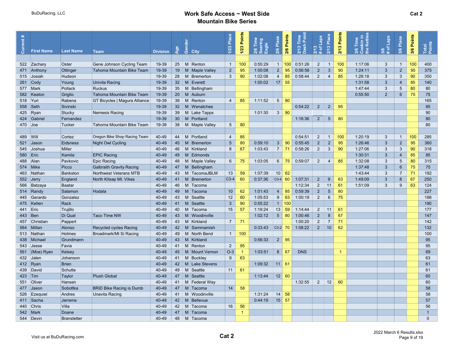|            |                   |                    |                                 |                 |                 | මී             | Place<br>1/23   | Points<br>1/23 | Time<br>earing<br>Eagle<br>2/6 | Place<br>$\boldsymbol{\omega}$ | Points<br>2/6 | $\frac{5}{2}$<br>Time<br>$\Delta$<br>ash<br>2/13 | Laps<br>m.<br>৳  | Place<br>2/13   | Points<br>2/13       | Time<br>Min i<br>Kettl<br>Le<br>3/6 | Laps<br>৳<br>$\bullet$ | Place<br>3/6    | 3/6 Points | Total<br>Points |  |
|------------|-------------------|--------------------|---------------------------------|-----------------|-----------------|----------------|-----------------|----------------|--------------------------------|--------------------------------|---------------|--------------------------------------------------|------------------|-----------------|----------------------|-------------------------------------|------------------------|-----------------|------------|-----------------|--|
| ೆ          | <b>First Name</b> | <b>Last Name</b>   | <b>Team</b>                     | <b>Division</b> | Ž               | <b>City</b>    |                 |                |                                |                                |               |                                                  | $\overline{N}$ # |                 |                      |                                     | ನ                      |                 |            |                 |  |
|            | 522 Zachary       | Oster              | Gene Johnson Cycling Team       | 19-39           | 25              | M Renton       | $\overline{1}$  | 100            | 0:55:29                        | 1 <sup>1</sup>                 | 100           | 0:51:26                                          | $\overline{2}$   | $\overline{1}$  | 100                  | 1:17:06                             | 3                      | $\mathbf{1}$    | 100        | 400             |  |
|            | 471 Anthony       | Ottinger           | Tahoma Mountain Bike Team       | 19-39           | 19              | M Maple Valley | $\overline{2}$  | 95             | 1:00:08                        | 2 <sup>1</sup>                 | 95            | 0:56:58                                          | $2^{\circ}$      | $\mathbf{3}$    | 90                   | 1:24:11                             | 3                      | $\overline{2}$  | 95         | 375             |  |
|            | 515 Josiah        | Hudson             |                                 | 19-39           | 28              | M Bremerton    | 3               | 90             | 1:02:08                        | $\overline{4}$                 | 85            | 0:58:44                                          | $\overline{2}$   | $\overline{4}$  | 85                   | 1:28:18                             | 3                      | 3               | 90         | 350             |  |
|            | $261$ Cody        | Young              | Univita Racing                  | 19-39           | 32 <sup>2</sup> | M Everett      |                 |                | 1:00:02                        |                                | $17$ 55       |                                                  |                  |                 |                      | 1:31:58                             | 3                      | $\overline{4}$  | 85         | 140             |  |
|            | 577 Mark          | Pollack            | <b>Ruckus</b>                   | 19-39           | 35              | M Bellingham   |                 |                |                                |                                |               |                                                  |                  |                 |                      | 1:47:44                             | $\mathbf{3}$           | $5\phantom{.0}$ | 80         | 80              |  |
|            | 582 Keaton        | Griglio            | Tahoma Mountain Bike Team       | 19-39           | 20              | M Auburn       |                 |                |                                |                                |               |                                                  |                  |                 |                      | 0:55:50                             | $\overline{2}$         | 6               | 75         | 75              |  |
| $518$ Yuri |                   | Rabena             | GT Bicycles   Magura Alliance   | 19-39           | 39              | M Renton       | $\overline{4}$  | 85             | 1:11:52                        | 5 <sup>5</sup>                 | -80           |                                                  |                  |                 |                      |                                     |                        |                 |            | 165             |  |
|            | 558 Seth          | Sivinski           |                                 | 19-39           | 32 <sup>2</sup> | M Wenatchee    |                 |                |                                |                                |               | 0:54:22                                          | $2^{\circ}$      | $2^{\circ}$     | 95                   |                                     |                        |                 |            | 95              |  |
|            | 425 Ryan          | Stucky             | Nemesis Racing                  | 19-39           | 39              | M Lake Tapps   |                 |                | 1:01:30                        | 3 <sup>1</sup>                 | 90            |                                                  |                  |                 |                      |                                     |                        |                 |            | 90              |  |
|            | 424 Gabriel       | Fernandez          |                                 | 19-39           | 30 <sup>°</sup> | M Portland     |                 |                |                                |                                |               | 1:16:36                                          | $2^{\circ}$      | $5\phantom{.0}$ | 80                   |                                     |                        |                 |            | 80              |  |
| $470$ Joe  |                   | Tucker             | Tahoma Mountain Bike Team       | 19-39           | 38              | M Maple Valley | $5\phantom{.0}$ | 80             |                                |                                |               |                                                  |                  |                 |                      |                                     |                        |                 |            | 80              |  |
|            |                   |                    |                                 |                 |                 |                |                 |                |                                |                                |               |                                                  |                  |                 |                      |                                     |                        |                 |            |                 |  |
| 489 Will   |                   | Cortez             | Oregon Bike Shop Racing Team    | 40-49           | 44              | M Portland     | $\overline{4}$  | 85             |                                |                                |               | 0:54:51                                          | $\overline{2}$   | $\overline{1}$  | 100                  | 1:20:19                             | 3                      | $\overline{1}$  | 100        | 285             |  |
| 521        | <b>Jason</b>      | <b>Eidsness</b>    | Night Owl Cycling               | 40-49           | 45              | M Bremerton    | $5\overline{)}$ | 80             | 0:59:10                        | $3\phantom{.0}$                | 90            | 0:55:45                                          | $\overline{2}$   | $\overline{2}$  | 95                   | 1:26:46                             | 3                      | $\overline{2}$  | 95         | 360             |  |
|            | 545 Joshua        | Miller             |                                 | 40-49           | 46              | M Kirkland     | 8               | 67             | 1:03:43                        | 7 <sup>1</sup>                 | 71            | 0:58:26                                          | $\overline{2}$   | 3               | 90                   | 1:27:06                             | 3                      | 3               | 90         | 318             |  |
| 580   Eric |                   | Kamila             | <b>EPIC Racing</b>              | 40-49           | 49              | M Edmonds      |                 |                |                                |                                |               |                                                  |                  |                 |                      | 1:30:31                             | 3                      | $\overline{4}$  | 85         | 85              |  |
| 488 Alan   |                   | Pavkovic           | <b>Epic Racing</b>              | 40-49           | 48              | M Maple Valley | 6               | 75             | 1:03:05                        | $6 \mid$                       | 75            | 0:59:07                                          | $\overline{2}$   | 4               | 85                   | 1:32:08                             | 3                      | $5\overline{)}$ | 80         | 315             |  |
|            | 574 Mike          | Picco              | <b>Galbraith Gravity Racing</b> | 40-49           | 47              | M Bellingham   |                 |                |                                |                                |               |                                                  |                  |                 |                      | 1:37:48                             | 3                      | $6\overline{6}$ | 75         | 75              |  |
|            | 463 Nathan        | <b>Bankston</b>    | Northwest Veterans MTB          | 40-49           | 43              | M TacomaJBLM   | 13              | 59             | 1:07:39                        |                                | $10 \mid 62$  |                                                  |                  |                 |                      | 1:43:44                             | 3                      | $\overline{7}$  | 71         | 192             |  |
|            | 552 Jerry         | England            | North Kitsap Mt. Vikes          | 40-49           | 41              | M Bremerton    | $C3-4$          | 60             | 0:37:36                        | $C3-4$                         | 60            | 1:07:31                                          | $2^{\circ}$      | 9               | 63                   | 1:49:09                             | 3                      | 8               | 67         | 250             |  |
|            | 566 Batzaya       | <b>Baatar</b>      |                                 | 40-49           | 46              | M Tacoma       |                 |                |                                |                                |               | 1:12:34                                          | $\overline{2}$   | 11              | 61                   | 1:51:09                             | $\mathbf{3}$           | 9               | 63         | 124             |  |
|            | 514 Randy         | Salamon            | Hodala                          | 40-49           | 49              | M Tacoma       | 10              | 62             | 1:01:43                        | $\overline{4}$                 | 85            | 0:59:39                                          | $2^{\circ}$      | $5\phantom{1}$  | 80                   |                                     |                        |                 |            | 227             |  |
|            | 445 Gerardo       | Gonzalez           |                                 | 40-49           | 43              | M Seattle      | 12              | 60             | 1:05:53                        | 9                              | 63            | 1:00:19                                          | $\overline{2}$   | 6               | 75                   |                                     |                        |                 |            | 198             |  |
|            | 475   Kellen      | Rack               |                                 | 40-49           | 41              | $M$ Seattle    | 3               | 90             | 0:55:22                        |                                | 1   100       |                                                  |                  |                 |                      |                                     |                        |                 |            | 190             |  |
| 441        | Eric              | Trujillo           |                                 | 40-49           | 40              | M Tacoma       | 15              | 57             | 1:19:24                        | 13                             | 59            | 1:14:44                                          | 2                | 11              | 61                   |                                     |                        |                 |            | 177             |  |
| 443   Ben  |                   | Di Qual            | <b>Taco Time NW</b>             | 40-49           | 43              | M Woodinville  |                 |                | 1:02:12                        | 5 <sup>5</sup>                 | 80            | 1:00:46                                          | $2^{\circ}$      | 8               | 67                   |                                     |                        |                 |            | 147             |  |
|            | 457 Christian     | Pappert            |                                 | 40-49           | 43              | M Kirkland     | $\overline{7}$  | 71             |                                |                                |               | 1:00:20                                          | $\overline{2}$   | $\overline{7}$  | 71                   |                                     |                        |                 |            | 142             |  |
|            | 564 Millan        | Alonso             | Recycled cycles Racing          | 40-49           | 42              | M Sammamish    |                 |                | 0:33:43                        | $C3-2$ 70                      |               | 1:08:22                                          | $2^{\circ}$      | 10              | 62                   |                                     |                        |                 |            | 132             |  |
|            | 513 Nathan        | Holmes             | Broadmark/Mt Si Racing          | 40-49           | 49              | M North Bend   | $\overline{1}$  | 100            |                                |                                |               |                                                  |                  |                 |                      |                                     |                        |                 |            | 100             |  |
|            | 438 Michael       | Grundmann          |                                 | 40-49           | 43              | M Kirkland     |                 |                | 0:56:33                        |                                | $2 \mid 95$   |                                                  |                  |                 |                      |                                     |                        |                 |            | 95              |  |
|            | 543 Jesse         | Favia              |                                 | 40-49           | 41              | M Renton       | $\overline{2}$  | 95             |                                |                                |               |                                                  |                  |                 |                      |                                     |                        |                 |            | 95              |  |
|            | 561 (Moe) Ryan    | Kelsey             |                                 | 40-49           | 45              | M Mount Vernon | $O-3$           | -1             | 1:03:51                        | 8 <sup>1</sup>                 | 67            | <b>DNS</b>                                       |                  |                 | $\blacktriangleleft$ |                                     |                        |                 |            | 69              |  |
|            | 432 Jalen         | Johanson           |                                 | 40-49           | 41              | M Buckley      | 9               | 63             |                                |                                |               |                                                  |                  |                 |                      |                                     |                        |                 |            | 63              |  |
|            | 412 Ryan          | <b>Brien</b>       |                                 | 40-49           | 42              | M Lake Stevens |                 |                | 1:09:32                        |                                | $11 \vert 61$ |                                                  |                  |                 |                      |                                     |                        |                 |            | 61              |  |
|            | 439 David         | Schutte            |                                 | 40-49           | 49              | M Seattle      | 11              | 61             |                                |                                |               |                                                  |                  |                 |                      |                                     |                        |                 |            | 61              |  |
| 423 Tim    |                   | Taylor             | <b>Plush Global</b>             | 40-49           | 47              | M Seattle      |                 |                | 1:13:44                        |                                | $12 \mid 60$  |                                                  |                  |                 |                      |                                     |                        |                 |            | 60              |  |
|            | 551 Oliver        | Hansen             |                                 | 40-49           | 41              | M Federal Way  |                 |                |                                |                                |               | 1:32:55                                          | $\overline{2}$   | 12              | 60                   |                                     |                        |                 |            | 60              |  |
|            | 477 Jason         | Sobottka           | <b>BRID Bike Racing is Dumb</b> | 40-49           | 47              | M Tacoma       | 14              | 58             |                                |                                |               |                                                  |                  |                 |                      |                                     |                        |                 |            | 58              |  |
|            | 526 Ezequiel      | Andres             | <b>Unavita Racing</b>           | 40-49           | 41              | M Woodinville  |                 |                | 1:31:24                        |                                | $14 \mid 58$  |                                                  |                  |                 |                      |                                     |                        |                 |            | 58              |  |
|            | 411 Sacha         | <b>Jerrems</b>     |                                 | 40-49           | 42              | M Bellevue     |                 |                | 0:44:19                        |                                | $15$ 57       |                                                  |                  |                 |                      |                                     |                        |                 |            | 57              |  |
|            | 440 Chris         | Villa              |                                 | 40-49           | 42              | M Tacoma       | 16              | 56             |                                |                                |               |                                                  |                  |                 |                      |                                     |                        |                 |            | 56              |  |
|            | 542 Mark          | Doane              |                                 | 40-49           | 47              | M Tacoma       |                 | -1             |                                |                                |               |                                                  |                  |                 |                      |                                     |                        |                 |            | $\mathbf{1}$    |  |
|            | 544 Devin         | <b>Branstetter</b> |                                 | 40-49           |                 | 48   M Tacoma  |                 |                |                                |                                |               |                                                  |                  |                 |                      |                                     |                        |                 |            | $\mathbf{0}$    |  |
|            |                   |                    |                                 |                 |                 |                |                 |                |                                |                                |               |                                                  |                  |                 |                      |                                     |                        |                 |            |                 |  |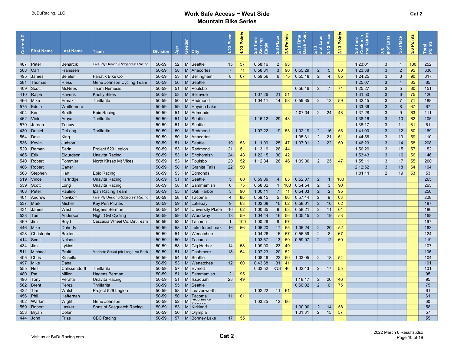| 3                   | <b>First Name</b> | <b>Last Name</b>        | <b>Team</b>                         | <b>Division</b> | Ž               | <b>a</b><br>Gen<br><b>City</b> | Place<br>1/23   | Points<br>1/23 | E <sub>lime</sub><br>Soaring<br>Eagle<br>್ಷ ಜ | Place<br>2/6     | Points<br>2/6              | $\frac{1}{5}$<br>2/13 Time<br>Dash Poir | <b>Sder</b><br><b>25</b><br>$\overline{N}$ # | Place<br>2/13   | Points<br>2/13 | okin in<br>Kettle<br>Time<br>ဝိ ဧ<br>၁<br>3/6 | Laps<br>$3/6$<br># of | Place<br>3/6     | 3/6 Points | Total<br>Points |  |
|---------------------|-------------------|-------------------------|-------------------------------------|-----------------|-----------------|--------------------------------|-----------------|----------------|-----------------------------------------------|------------------|----------------------------|-----------------------------------------|----------------------------------------------|-----------------|----------------|-----------------------------------------------|-----------------------|------------------|------------|-----------------|--|
|                     | 487 Peter         | Benarcik                | Five Ply Design / Ridgecrest Racing | 50-59           | 52              | M Seattle                      | 15              | 57             | 0:58:16                                       | $2^{\circ}$      | 95                         |                                         |                                              |                 |                | 1:23:01                                       | 3                     | $\mathbf{1}$     | 100        | 252             |  |
| 508 Carl            |                   | Franssen                |                                     | 50-59           | 58              | M Anacortes                    | $\overline{7}$  | 71             | 0:58:31                                       | $\mathbf{3}$     | 90                         | 0:55:29                                 | $\overline{2}$                               | $5\phantom{.0}$ | 80             | 1:23:38                                       | $\mathbf{3}$          | $\overline{2}$   | 95         | 336             |  |
|                     | 495 James         | <b>Beieler</b>          | Fanatik Bike Co                     | 50-59           | 53              | M Bellingham                   | 8               | 67             | 0:59:56                                       | $6\overline{6}$  | 75                         | 0:55:18                                 | 2                                            | $\overline{4}$  | 85             | 1:24:25                                       | 3                     | 3                | 90         | 317             |  |
|                     | 581 Thomas        | Riess                   | Gene Johnson Cycling Team           | 50-59           | 56              | $M$ Seattle                    |                 |                |                                               |                  |                            |                                         |                                              |                 |                | 1:25:07                                       | 3                     | $\overline{4}$   | 85         | 85              |  |
|                     | 409 Scott         | <b>McNees</b>           | <b>Team Nemesis</b>                 | 50-59           | 51              | M Poulsbo                      |                 |                |                                               |                  |                            | 0:56:16                                 | $\overline{2}$                               | $\overline{7}$  | 71             | 1:25:27                                       | 3                     | 5                | 80         | 151             |  |
|                     | 410 Ralph         | <b>Havens</b>           | <b>Knolly Bikes</b>                 | 50-59           | 53              | M Bellevue                     |                 |                | 1:07:26                                       |                  | $21 \mid 51$               |                                         |                                              |                 |                | 1:31:50                                       | 3                     | 6                | 75         | 126             |  |
|                     | 466 Mike          | Ermak                   | Thrillarita                         | 50-59           | 50              | M Redmond                      |                 |                | 1:04:11                                       | 14               | 58                         | 0:59:35                                 | 2                                            | 13              | 59             | 1:32:45                                       | 3                     | $\overline{7}$   | 71         | 188             |  |
|                     | 575 Eddie         | Whittemore              |                                     | 50-59           | 59              | M Hayden Lake                  |                 |                |                                               |                  |                            |                                         |                                              |                 |                | 1:33:36                                       | 3                     | $\boldsymbol{8}$ | 67         | 67              |  |
|                     | 404 Kent          | Smith                   | <b>Epic Racing</b>                  | 50-59           | 51              | M Edmonds                      |                 |                |                                               |                  |                            | 1:07:34                                 | $\overline{2}$                               | 24              | 48             | 1:37:28                                       | 3                     | 9                | 63         | 111             |  |
|                     | 462 Victor        | ∣Araya                  | Thrillarita                         | 50-59           | 51              | $M$ Seattle                    |                 |                | 1:16:12                                       |                  | $29$ 43                    |                                         |                                              |                 |                | 1:38:16                                       | $\mathbf{3}$          | 10               | 62         | 105             |  |
|                     | 579 Jeroen        | Teeuw                   |                                     | 50-59           | 51              | M<br>Seattle                   |                 |                |                                               |                  |                            |                                         |                                              |                 |                | 1:38:17                                       | 3                     | 11               | 61         | 61              |  |
|                     | 430 Daniel        | DeLong                  | Thrillarita                         | 50-59           | 59              | M<br>Redmond                   |                 |                | 1:07:22                                       |                  | $19$ 53                    | 1:02:19                                 | $\overline{2}$                               | 16              | 56             | 1:41:00                                       | 3                     | 12               | 60         | 169             |  |
|                     | 554 Dale          | King                    |                                     | 50-59           | 50              | M Anacortes                    |                 |                |                                               |                  |                            | 1:05:31                                 | $\overline{2}$                               | 21              | 51             | 1:44:56                                       | 3                     | 13               | 59         | 110             |  |
|                     | 536 Kevin         | Judson                  |                                     | 50-59           | 51              | M<br>Seattle                   | 19              | 53             | 1:11:09                                       | 25               | 47                         | 1:07:01                                 | $\overline{2}$                               | 22              | 50             | 1:46:23                                       | 3                     | 14               | 58         | 208             |  |
|                     | 529 Raman         | Sarin                   | Project 529 Legion                  | 50-59           | 53              | M Redmond                      | 21              | 51             | 1:13:19                                       | 28               | 44                         |                                         |                                              |                 |                | 1:50:29                                       | 3                     | 15               | 57         | 152             |  |
| $465$ Erik          |                   | Sigurdson               | <b>Unavita Racing</b>               | 50-59           | 53              | M Snohomish                    | 24              | 48             | 1:22:15                                       | 30 <sup>°</sup>  | 42                         |                                         |                                              |                 |                | 1:53:43                                       | 3                     | 16               | 56         | 146             |  |
|                     | 540 Robert        | Pommier                 | North Kitsap Mt Vikes               | 50-59           | 53              | M Poulsbo                      | 20              | 52             | 1:12:34                                       |                  | $26 \mid 46$               | 1:09:30                                 | 2                                            | 25              | 47             | 1:55:11                                       | 3                     | 17               | 55         | 200             |  |
|                     | 486 Robert        | Carter                  |                                     | 50-59           | 58              | M Granite Falls                | 22              | 50             |                                               |                  |                            |                                         |                                              |                 |                | 2:12:52                                       | 3                     | 18               | 54         | 104             |  |
|                     | 568 Stephen       | Hart                    | <b>Epic Racing</b>                  | 50-59           | 53              | M Edmonds                      |                 |                |                                               |                  |                            |                                         |                                              |                 |                | 1:01:11                                       | $\overline{2}$        | 19               | 53         | 53              |  |
|                     |                   |                         |                                     | 50-59           | 51              | M                              | $5\phantom{.0}$ |                | 0:59:09                                       | $\overline{4}$   | 85                         | 0:52:37                                 |                                              | $\mathbf{1}$    | 100            |                                               |                       |                  |            | 265             |  |
|                     | 519 Vince         | Partridge               | <b>Unavita Racing</b>               |                 |                 | Seattle                        |                 | 80             |                                               |                  |                            |                                         | $\overline{2}$                               |                 | 90             |                                               |                       |                  |            |                 |  |
|                     | 539 Scott         | Long                    | Unavita Racing                      | 50-59           | 58              | M Sammamish                    | $6\phantom{1}$  | 75             | 0:58:02                                       | $\mathbf{1}$     | 100                        | 0:54:54                                 | $\overline{2}$                               | $\mathbf{3}$    | 95             |                                               |                       |                  |            | 265             |  |
|                     | 468 Peter         | Paulino                 | Ipan Racing Team                    | 50-59           | 55              | M   Oak Harbor                 | $\overline{3}$  | 90             | 1:00:11                                       | 7 <sup>1</sup>   | 71                         | 0:54:03                                 | $\overline{2}$                               | $\overline{2}$  |                |                                               |                       |                  |            | 256             |  |
|                     | 401 Andrew        | Novikoff                | Five Ply Design / Ridgecrest Racing | 50-59           | 58              | M Tacoma                       | $\overline{4}$  | 85             | 0:59:15                                       | 5 <sup>1</sup>   | 80                         | 0:57:44                                 | 2                                            | 9               | 63             |                                               |                       |                  |            | 228             |  |
|                     | 537 Mark          | Michel                  | <b>Key Pen Pirates</b>              | 50-59           | 59              | M Lakebay                      | 9               | 63             | 1:02:08                                       | 10 <sup>1</sup>  | 62                         | 0:58:01                                 | $2^{\circ}$                                  | 10              | 62             |                                               |                       |                  |            | 187             |  |
|                     | 431 James         | West                    | Hagens Berman                       | 50-59           | 54              | M University Place             | 10              | 62             | 1:00:35                                       | 9                | 63                         | 0:58:21                                 | 2                                            | 11              | 61             |                                               |                       |                  |            | 186             |  |
| 538 Tom             |                   | Anderson                | <b>Night Owl Cycling</b>            | 50-59           | 59              | M Woodway                      | 13              | 59             | 1:04:44                                       |                  | $16$ 56                    | 1:05:15                                 | $\overline{2}$                               | 19              | 53             |                                               |                       |                  |            | 168             |  |
| 469 Jim             |                   | Boyd                    | Cascadia Wheel Co. Dirt Team        | 50-59           | 52              | M Tacoma                       | $\overline{1}$  | 100            | 1:00:26                                       | 8                | -67                        |                                         |                                              |                 |                |                                               |                       |                  |            | 167             |  |
|                     | 446 Mike          | Doherty                 |                                     | 50-59           | 58              | M Lake forest park             | 16              | 56             | 1:06:20                                       | 17               | 55                         | 1:05:24                                 | $\overline{2}$                               | 20              | 52             |                                               |                       |                  |            | 163             |  |
|                     | 428 Christopher   | Baxter                  |                                     | 50-59           | 51              | M Wenatchee                    |                 |                | 1:04:26                                       | 15 <sup>15</sup> | 57                         | 0:56:59                                 | 2                                            | 8               | 67             |                                               |                       |                  |            | 124             |  |
|                     | 414 Scott         | Nelson                  |                                     | 50-59           | 50              | M Tacoma                       |                 |                | 1:03:57                                       | 13               | 59                         | 0:59:07                                 | $\overline{2}$                               | 12 <sup>2</sup> | 60             |                                               |                       |                  |            | 119             |  |
| 434 Jim             |                   | Lykins                  |                                     | 50-59           | 58              | M Gig Harbor                   | 14              | 58             | 1:09:00                                       | 23               | 49                         |                                         |                                              |                 |                |                                               |                       |                  |            | 107             |  |
|                     | 511 Michael       | Pruitt                  | Machete Squad p/b Long Live Rock    | 50-59           | 51              | M Cashmere                     | 18              | 54             | 1:07:23                                       | 20               | 52                         |                                         |                                              |                 |                |                                               |                       |                  |            | 106             |  |
|                     | 405 Chris         | Kinsella                |                                     | 50-59           | 54              | M Seattle                      |                 |                | 1:08:46                                       | 22               | 50                         | 1:03:05                                 | 2                                            | 18              | 54             |                                               |                       |                  |            | 104             |  |
|                     | 497 Mike          | Dana                    | Thrillarita                         | 50-59<br>50-59  | 53<br>57        | M Wenatchee<br>M Everett       | 12 <sup>2</sup> | 60             | 0:43:38<br>0:33:52                            | 31               | 41<br>C <sub>2</sub> -7 46 | 1:02:43                                 | 2                                            | 17              | 55             |                                               |                       |                  |            | 101<br>101      |  |
| 555 Neil<br>480 Pat |                   | Calissendorff<br>Miller | Hagens Berman                       | 50-59           | 51              | M Sammamish                    | $2^{\circ}$     | 95             |                                               |                  |                            |                                         |                                              |                 |                |                                               |                       |                  |            | 95              |  |
|                     | 496 Tony          | Peralta                 | Unavita Racing                      | 50-59           | 51              | M Issaguah                     | 23              | 49             |                                               |                  |                            | 1:18:17                                 | 2                                            | 26              | 46             |                                               |                       |                  |            | 95              |  |
|                     | 562 Brent         | Perez                   | Thrillarita                         | 50-59           | 55              | M Seattle                      |                 |                |                                               |                  |                            | 0:56:02                                 | $2^{\circ}$                                  | $6\phantom{1}$  | 75             |                                               |                       |                  |            | 75              |  |
| 422 Tim             |                   | Walsh                   | Project 529 Legion                  | 50-59           | 58              | M Leavenworth                  |                 |                | 1:02:22                                       | $11 \ 61$        |                            |                                         |                                              |                 |                |                                               |                       |                  |            | 61              |  |
| 456 Phil            |                   | Heffernan               |                                     | 50-59           | 50              | M Tacoma                       | 11              | 61             |                                               |                  |                            |                                         |                                              |                 |                |                                               |                       |                  |            | 61              |  |
|                     | 402 Warlan        | Wight                   | Gene Johnson                        | 50-59           | 52              | πιυαπιακε<br>M<br>Tarroca      |                 |                | 1:03:25                                       |                  | $12 \mid 60$               |                                         |                                              |                 |                |                                               |                       |                  |            | 60              |  |
|                     | 559 Robert        | Lasker                  | Sons of Sasquatch Racing            | 50-59           | 53              | M Kirkland                     |                 |                |                                               |                  |                            | 1:00:00                                 | $\overline{2}$                               | 14              | 58             |                                               |                       |                  |            | 58              |  |
|                     | 553 Bryan         | Dolan                   |                                     | 50-59           | 50 <sub>2</sub> | M Olympia                      |                 |                |                                               |                  |                            | 1:01:31                                 | $\overline{2}$                               | 15              | 57             |                                               |                       |                  |            | 57              |  |
|                     | 444 John          | Frias                   | <b>CBC Racing</b>                   | 50-59           | 57              | M Bonney Lake                  | 17              | 55             |                                               |                  |                            |                                         |                                              |                 |                |                                               |                       |                  |            | 55              |  |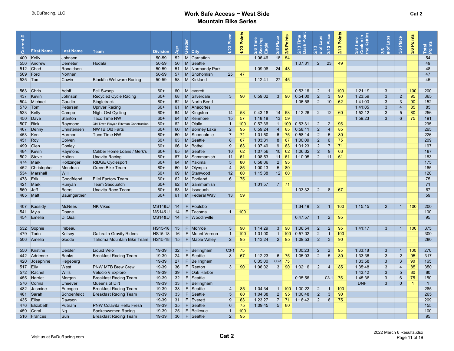|            |                   |                  |                                       |                   |                 |                      | Place           | Points | Time                    | Place           | Points       | $\frac{5}{2}$<br>Time | <b>Laps</b>    | Place           | Points | Time<br>kin<br>Kett | Laps           | Place           |                      |                 |  |
|------------|-------------------|------------------|---------------------------------------|-------------------|-----------------|----------------------|-----------------|--------|-------------------------|-----------------|--------------|-----------------------|----------------|-----------------|--------|---------------------|----------------|-----------------|----------------------|-----------------|--|
| ā          | <b>First Name</b> | <b>Last Name</b> | Team                                  | <b>Division</b>   | lge             | මී<br><b>City</b>    | 1/23            | /23    | soaring<br>Eagle<br>2/6 | $\omega$        | 2/6          | ash<br>2/13           | က<br>ō         | 2/13            | 2/13   | $\omega$            | ত              | 3/6             | 3/6 Points           | Total<br>Points |  |
|            | 400 Kelly         | Johnson          |                                       | 50-59             | 52              | M Carnation          |                 |        | 1:06:46                 | ন<br>18         | 54           |                       | ี ผิ #         |                 |        |                     | ൟ              |                 |                      | 54              |  |
|            | 556 Andrew        | Demeter          | Hodala                                | 50-59             | 50              | M Seattle            |                 |        |                         |                 |              | 1:07:31               | $2^{\circ}$    | 23              | 49     |                     |                |                 |                      | 49              |  |
|            | 512 Chad          | Ronaldson        |                                       | 50-59             | 51              | M Normandy Park      |                 |        | 1:09:08                 | 24              | 48           |                       |                |                 |        |                     |                |                 |                      | 48              |  |
|            |                   |                  |                                       | 50-59             | 57              |                      | 25              | 47     |                         |                 |              |                       |                |                 |        |                     |                |                 |                      | 47              |  |
|            | 509 Ford          | Northen          |                                       |                   |                 | M Snohomish          |                 |        |                         |                 |              |                       |                |                 |        |                     |                |                 |                      |                 |  |
|            | 535 Tom           | Cowin            | <b>Blackfin Webware Racing</b>        | 50-59             | 58              | M Kirkland           |                 |        | 1:12:41                 | $27 \mid 45$    |              |                       |                |                 |        |                     |                |                 |                      | 45              |  |
|            |                   |                  |                                       |                   |                 |                      |                 |        |                         |                 |              |                       |                |                 |        |                     |                |                 |                      |                 |  |
|            | 563 Chris         | Adolf            | <b>Fell Swoop</b>                     | $60+$             | 60              | $M$ everett          |                 |        |                         |                 |              | 0:53:16               | $\overline{2}$ | $\mathbf{1}$    | 100    | 1:21:19             | 3              | $\overline{1}$  | 100                  | 200             |  |
|            | 437 Kevin         | Johnson          | <b>Recycled Cycle Racing</b>          | $60+$             | 68              | M Silverdale         | $\mathbf{3}$    | 90     | 0:59:02                 | 3 <sup>1</sup>  | 90           | 0:54:00               | $2^{\circ}$    | $\mathbf{3}$    | 90     | 1:23:59             | 3              | $\overline{2}$  | 95                   | 365             |  |
|            | 504 Michael       | Gaudio           | Singletrack                           | $60+$             | 62              | M North Bend         |                 |        |                         |                 |              | 1:06:58               | $\overline{2}$ | 10              | 62     | 1:41:03             | 3              | 3               | 90                   | 152             |  |
|            | 578   Tom         | Petersen         | <b>Upriver Racing</b>                 | $60+$             | 61              | M Anacortes          |                 |        |                         |                 |              |                       |                |                 |        | 1:41:05             | 3              | $\overline{4}$  | 85                   | 85              |  |
|            | 533 Kelly         | Campo            | Night Owl Cycling                     | $60+$             | 64              | M Kingston           | 14              | 58     | 0:43:18                 |                 | 14   58      | 1:12:26               | $\overline{2}$ | 12              | 60     | 1:52:12             | 3              | $5\phantom{.0}$ | 80                   | 256             |  |
|            | 450 Dave          | Stanton          | Taco Time NW                          | $60+$             | 64              | M Kenmore            | 15              | 57     | 1:18:18                 | 13              | 59           |                       |                |                 |        | 1:59:23             | $\mathbf{3}$   | 6               | 75                   | 191             |  |
|            | 507 Rick          | Raymond          | Old Town Bicycle Ritzman Construction | $60+$             | 62              | M Olalla             | $\overline{1}$  | 100    | 0:57:36                 |                 | 1   100      | 0:53:31               | $\overline{2}$ | $\overline{2}$  | 95     |                     |                |                 |                      | 295             |  |
|            | 467 Denny         | Christensen      | <b>NWTB Old Farts</b>                 | $60+$             |                 | 60   M   Bonney Lake | $\overline{2}$  | 95     | 0:59:24                 | $\overline{4}$  | 85           | 0:58:11               | $2^{\circ}$    | $\overline{4}$  | 85     |                     |                |                 |                      | 265             |  |
| 453 Ken    |                   | Harmon           | Taco Time NW                          | $60+$             | 60              | M Snoqualmie         | $\overline{7}$  | 71     | 1:01:50                 | 6               | -75          | 0:58:14               | $\overline{2}$ | 5               | 80     |                     |                |                 |                      | 226             |  |
| 451 Roy    |                   | Colven           |                                       | $60+$             | 63              | M Seattle            | 8               | 67     | 1:03:31                 | 8 <sup>°</sup>  | 67           | 1:00:09               | 2 <sup>2</sup> | 6               | 75     |                     |                |                 |                      | 209             |  |
| 499        | Glen              | Conley           |                                       | $60+$             | 66              | M Bothell            | 9               | 63     | 1:07:49                 | 9               | 63           | 1:01:23               | $\overline{2}$ | $\overline{7}$  | 71     |                     |                |                 |                      | 197             |  |
|            | 484 Kevin         | Raymond          | Caliber Home Loans / Gerk's           | $60+$             | 65              | M Seattle            | 10              | 62     | 1:07:56                 | 10 <sup>1</sup> | 62           | 1:06:32               | $2^{\circ}$    | 9               | 63     |                     |                |                 |                      | 187             |  |
|            | 502 Steve         | Holton           | <b>Unavita Racing</b>                 | $60+$             | 67              | M Sammamish          | 11              | 61     | 1:08:53                 |                 | 11   61      | 1:10:05               | 2              | 11              | 61     |                     |                |                 |                      | 183             |  |
|            | 474 Mark          | Holtzinger       | <b>RIDGE Cyclesport</b>               | $60+$             | 64              | M Yakima             | $5\phantom{.0}$ | 80     | 0:58:06                 | $2^{\circ}$     | 95           |                       |                |                 |        |                     |                |                 |                      | 175             |  |
|            | 452 Christopher   | Mendoza          | Green Bike Team                       | $60+$             | 60              | M Olympia            | $\overline{4}$  | 85     | 1:00:13                 | 5 <sup>5</sup>  | 80           |                       |                |                 |        |                     |                |                 |                      | 165             |  |
|            | 534 Marshall      | Will             |                                       | $60+$             | 69              | M Stanwood           | 12              | 60     | 1:15:38                 |                 | $12 \mid 60$ |                       |                |                 |        |                     |                |                 |                      | 120             |  |
| 478 Erik   |                   | Goodfriend       | <b>Eliel Factory Team</b>             | $60+$             | 62              | M Portland           | 6               | 75     |                         |                 |              |                       |                |                 |        |                     |                |                 |                      | 75              |  |
|            | 421 Mark          | Runyan           | <b>Team Sasquatch</b>                 | $60+$             | 62              | M Sammamish          |                 |        | 1:01:57                 |                 | $7 \mid 71$  |                       |                |                 |        |                     |                |                 |                      | 71              |  |
| $560$ Jeff |                   | <b>Beers</b>     | <b>Unavita Race Team</b>              | $60+$             | 63              | M Issaguah           |                 |        |                         |                 |              | 1:03:32               | $\overline{2}$ | 8               | 67     |                     |                |                 |                      | 67              |  |
| 485   Matt |                   | Baumgartner      |                                       | $60+$             |                 | 61   M   Federal Way | 13              | 59     |                         |                 |              |                       |                |                 |        |                     |                |                 |                      | 59              |  |
|            |                   |                  |                                       |                   |                 |                      |                 |        |                         |                 |              |                       |                |                 |        |                     |                |                 |                      |                 |  |
|            | 407 Kassidy       | <b>McNees</b>    | <b>NK Vikes</b>                       | <b>MS14&amp;U</b> | 14              | $F$ Poulsbo          |                 |        |                         |                 |              | 1:34:49               | $2^{\circ}$    | $\overline{1}$  | 100    | 1:15:15             | $\overline{2}$ | $\overline{1}$  | 100                  | 200             |  |
| 541        | Myla              | Doane            |                                       | <b>MS14&amp;U</b> | 14              | $F$ Tacoma           | $\overline{1}$  | 100    |                         |                 |              |                       |                |                 |        |                     |                |                 |                      | 100             |  |
|            | 454 Emelia        | Di Qual          |                                       | <b>MS14&amp;U</b> | 14              | $F$ Woodinville      |                 |        |                         |                 |              | 0:47:57               | $\mathbf{1}$   | $\overline{2}$  | 95     |                     |                |                 |                      | 95              |  |
|            |                   |                  |                                       |                   |                 |                      |                 |        |                         |                 |              |                       |                |                 |        |                     |                |                 |                      |                 |  |
|            | 532 Sophie        | Imbeau           |                                       | <b>HS15-18</b>    | 15              | F Monroe             | $\mathbf{3}$    | 90     | 1:14:29                 | 3 <sup>1</sup>  | 90           | 1:06:54               | $2^{\circ}$    | $2^{\circ}$     | 95     | 1:41:17             | $\mathbf{3}$   | $\overline{1}$  | 100                  | 375             |  |
|            | 479 Torin         | Kelsey           | <b>Galbraith Gravity Riders</b>       | HS15-18           | 16              | F Mount Vernon       | $\overline{1}$  | 100    | 1:01:00                 | 1               | 100          | 0:57:02               | $\overline{2}$ | $\mathbf{1}$    | 100    |                     |                |                 |                      | 300             |  |
|            | 506 Amelia        | Goode            | Tahoma Mountain Bike Team             | <b>HS15-18</b>    | 15              | F   Maple Valley     | $\overline{2}$  | 95     | 1:13:24                 | $2^{\circ}$     | 95           | 1:09:53               | $2^{\circ}$    | $\mathbf{3}$    | 90     |                     |                |                 |                      | 280             |  |
|            |                   |                  |                                       |                   |                 |                      |                 |        |                         |                 |              |                       |                |                 |        |                     |                |                 |                      |                 |  |
|            | 550 Kristine      | <b>Deibler</b>   | <b>Liquid Velo</b>                    | 19-39             | 32 <sup>2</sup> | F.<br>Bellingham     | $ C3-1$         | 75     |                         |                 |              | 1:00:23               | $\overline{2}$ | $\overline{2}$  | 95     | 1:33:18             | $3\phantom{a}$ | $\mathbf{1}$    | 100                  | 270             |  |
|            | 442 Adrienne      | <b>Banks</b>     | <b>Breakfast Racing Team</b>          | 19-39             | 24              | $F$ Seattle          | 8               | 67     | 1:12:23                 | $6\overline{6}$ | 75           | 1:05:03               | $\overline{2}$ | $5\phantom{.0}$ | 80     | 1:33:36             | 3              | $\overline{2}$  | 95                   | 317             |  |
|            | 420 Josephine     | Hegeberg         |                                       | 19-39             | 27              | $F$ Bellingham       |                 |        | 0:35:00                 | $C3-1$          | 75           |                       |                |                 |        | 1:33:58             | 3              | 3               | 90                   | 165             |  |
| 517 Elly   |                   | West             | <b>PNW MTB Brew Crew</b>              | 19-39             | 36              | $F$ Renton           | $\mathbf{3}$    | 90     | 1:06:02                 | $\mathbf{3}$    | 90           | 1:02:16               | $\overline{2}$ | $\overline{4}$  | 85     | 1:35:48             | 3              | $\overline{4}$  | 85                   | 350             |  |
|            | 572 Rachel        | <b>Wills</b>     | Velocio // Exploro                    | 19-39             | 39              | F Oak Harbor         |                 |        |                         |                 |              |                       |                |                 |        | 1:43:42             | 3              | 5               | 80                   | 80              |  |
| 455        | Harriet           | Morgan           | <b>Breakfast Racing Team</b>          | 19-39             | 32              | $F$ Seattle          |                 |        |                         |                 |              | 0:35:56               |                | $ C3-1 $        | 75     | 1:45:36             | 3              | 6               | 75                   | 150             |  |
|            | 576 Corina        | Cheever          | Queens of Dirt                        | 19-39             | 33              | F.<br>Bellingham     |                 |        |                         |                 |              |                       |                |                 |        | <b>DNF</b>          | 3              | $\overline{0}$  | $\blacktriangleleft$ | $\overline{1}$  |  |
| 482        | $ J$ asmine       | Eucogco          | <b>Breakfast Racing Team</b>          | 19-39             | 38              | F<br>Seattle         | $\overline{4}$  | 85     | 1:04:34                 | 1 <sup>1</sup>  | 100          | 1:00:22               | $\overline{2}$ | $\overline{1}$  | 100    |                     |                |                 |                      | 285             |  |
|            | 481 Sarah         | Schoenfeldt      | <b>Breakfast Racing Team</b>          | 19-39             | 33              | $F$ Seattle          | $5\overline{)}$ | 80     | 1:04:38                 | $2^{\circ}$     | 95           | 1:00:48               | $2^{\circ}$    | $\mathbf{3}$    | 90     |                     |                |                 |                      | 265             |  |
|            | 435 Elisa         | Dawson           |                                       | 19-39             | 31              | $F$ Everett          | $\mathbf{Q}$    | 63     | 1:23:27                 | 7 <sup>1</sup>  | 71           | 1:16:42               | $\overline{2}$ | $6\phantom{1}$  | 75     |                     |                |                 |                      | 209             |  |
|            | 476 Elizabeth     | Putnam           | <b>PNW Colavita Hello Fresh</b>       | 19-39             | 35              | F<br>Seattle         | $6\phantom{1}6$ | 75     | 1:09:45                 | 5 <sup>1</sup>  | 80           |                       |                |                 |        |                     |                |                 |                      | 155             |  |
|            | 459 Coral         | Ng               | Spokeswomen Racing                    | 19-39             | 25              | F<br>Bellevue        | $\mathbf{1}$    | 100    |                         |                 |              |                       |                |                 |        |                     |                |                 |                      | 100             |  |
|            | 516 Frances       | Sun              | <b>Breakfast Racing Team</b>          | 19-39             | 36              | $F$ Seattle          | $2^{\circ}$     | 95     |                         |                 |              |                       |                |                 |        |                     |                |                 |                      | 95              |  |
|            |                   |                  |                                       |                   |                 |                      |                 |        |                         |                 |              |                       |                |                 |        |                     |                |                 |                      |                 |  |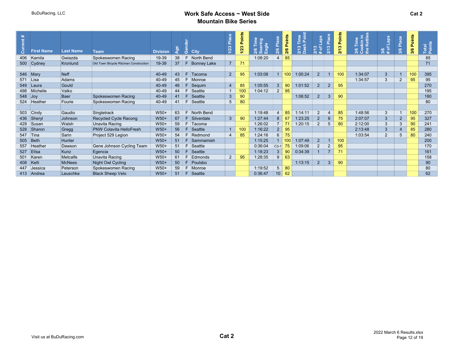| rent |                     |                  |                                       |                 |    |     |                    | ී<br><b>PLA</b> | Points | Time     |                 | Points | Time<br>I Point<br>$2/13$ T<br>Dash | aps<br>$\infty$ | Place<br>$\frac{1}{2}$ | Points | kin in<br>Kettles | <b>Laps</b>              | 3/6 Place      | 3/6 Points | Total<br>Points |
|------|---------------------|------------------|---------------------------------------|-----------------|----|-----|--------------------|-----------------|--------|----------|-----------------|--------|-------------------------------------|-----------------|------------------------|--------|-------------------|--------------------------|----------------|------------|-----------------|
|      | <b>First Name</b>   | <b>Last Name</b> | <b>Team</b>                           | <b>Division</b> |    | O   | <b>City</b>        | 1/23            | 1/23   | 2/6<br>ത |                 | 2/6    |                                     | $\frac{2}{1}$   |                        | 2/13   | 3/6               | $\circ$<br>$\frac{8}{4}$ |                |            |                 |
| 406  | Kamila              | Gwiazda          | Spokeswomen Racing                    | 19-39           | 38 | F   | North Bend         |                 |        | 1:08:20  |                 | 85     |                                     |                 |                        |        |                   |                          |                |            | 85              |
| 500  | $ $ Cydney          | Kronlund         | Old Town Bicycle Ritzman Construction | 19-39           | 37 | -F. | <b>Bonney Lake</b> | $\overline{7}$  | 71     |          |                 |        |                                     |                 |                        |        |                   |                          |                |            | 71              |
|      |                     |                  |                                       |                 |    |     |                    |                 |        |          |                 |        |                                     |                 |                        |        |                   |                          |                |            |                 |
| 546  | $\blacksquare$ Mary | Neff             |                                       | 40-49           | 43 | F   | Tacoma             | $2^{\circ}$     | 95     | 1:03:08  |                 | 100    | 1:00:24                             | $\overline{2}$  |                        | 100    | 1:34:07           | $\mathbf{3}$             |                | 100        | 395             |
| 571  | Lisa                | Adams            |                                       | 40-49           | 45 | E   | Monroe             |                 |        |          |                 |        |                                     |                 |                        |        | 1:34:57           | 3                        | $\overline{2}$ | 95         | 95              |
| 549  | ⊺Laura              | Gould            |                                       | 40-49           | 46 | F.  | Sequim             | $\overline{4}$  | 85     | 1:05:55  | 3 <sup>5</sup>  | 90     | 1:01:52                             | $2^{\circ}$     | 2                      | 95     |                   |                          |                |            | 270             |
| 498  | Michelle            | Valko            |                                       | 40-49           | 44 | F.  | Seattle            |                 | 100    | 1:04:12  | $2^{\circ}$     | 95     |                                     |                 |                        |        |                   |                          |                |            | 195             |
| 548  | $ $ Joy             | <b>Baer</b>      | Spokeswomen Racing                    | 40-49           | 41 | F   | Seattle            | $\mathbf{3}$    | 90     |          |                 |        | 1:06:52                             | $\overline{2}$  | $\mathbf{3}$           | 90     |                   |                          |                |            | 180             |
| 524  | Heather             | Fourie           | Spokeswomen Racing                    | 40-49           | 41 | E   | Seattle            | 5               | 80     |          |                 |        |                                     |                 |                        |        |                   |                          |                |            | 80              |
|      |                     |                  |                                       |                 |    |     |                    |                 |        |          |                 |        |                                     |                 |                        |        |                   |                          |                |            |                 |
| 503  | $ $ Cindy           | Gaudio           | Singletrack                           | $W50+$          | 63 | F   | North Bend         |                 |        | 1:19:48  |                 | 85     | 1:14:11                             | $\overline{2}$  | $\overline{4}$         | 85     | 1:48:56           | 3                        | $\overline{1}$ | 100        | 270             |
| 436  | Sheryl              | Johnson          | Recycled Cycle Racong                 | $W50+$          | 67 | F   | Silverdale         | 3               | 90     | 1:27:44  | 8               | 67     | 1:23:25                             | $2^{\circ}$     | $6^{\circ}$            | 75     | 2:07:07           | 3                        | $\overline{2}$ | 95         | 327             |
| 429  | Susan               | Walsh            | Unavita Racing                        | $W50+$          | 59 | F.  | Tacoma             |                 |        | 1:26:02  | $\overline{7}$  |        | 1:20:15                             | $\overline{2}$  | 5                      | 80     | 2:12:00           | 3                        | 3              | 90         | 241             |
| 528  | Sharon              | Gregg            | <b>PNW Colavita HelloFresh</b>        | $W50+$          | 56 |     | Seattle            |                 |        | 1:16:22  | $2^{\circ}$     | 95     |                                     |                 |                        |        | 2:13:48           | 3                        | 4              | 85         | 280             |
| 547  | Tina                | Sarin            | Project 529 Legion                    | $W50+$          | 54 |     | Redmond            | $\overline{4}$  | 85     | 1:24:16  | $6\overline{6}$ | 75     |                                     |                 |                        |        | 1:03:54           | 2                        | 5              | 80         | 240             |
| 505  | Beth                | Hunter           |                                       | $W50+$          | 51 | E   | Sammamish          |                 |        | 1:15:25  |                 | 100    | 1:07:49                             | $2^{\circ}$     |                        | 100    |                   |                          |                |            | 200             |
| 557  | Heather             | Dawson           | Gene Johnson Cycling Team             | $W50+$          | 51 | E   | Seattle            |                 |        | 0:36:04  | $C3-1$          | 75     | 1:09:06                             | $\overline{2}$  | 2                      | 95     |                   |                          |                |            | 170             |
| 527  | Ellsa               | Kunz             | Egencia                               | $W50+$          | 50 | F   | Seattle            |                 |        | 1:18:23  | 3 <sup>1</sup>  | 90     | 0:34:39                             |                 | $\overline{7}$         | 71     |                   |                          |                |            | 161             |
| 501  | Karen               | Metcalfe         | Unavita Racing                        | $W50+$          | 61 |     | Edmonds            | $\overline{2}$  | 95     | 1:28:35  | 9               | 63     |                                     |                 |                        |        |                   |                          |                |            | 158             |
| 408  | Kelli               | <b>McNees</b>    | Night Owl Cycling                     | $W50+$          | 50 |     | Poulsbo            |                 |        |          |                 |        | 1:13:15                             | $2^{\circ}$     | 3                      | 90     |                   |                          |                |            | 90              |
| 447  | Jessica             | Peterson         | Spokeswomen Racing                    | $W50+$          | 59 | E   | Monroe             |                 |        | 1:19:52  | 5 <sup>5</sup>  | 80     |                                     |                 |                        |        |                   |                          |                |            | 80              |
|      | 413 Andrea          | Leuschke         | <b>Black Sheep Velo</b>               | $W50+$          | 51 | F.  | Seattle            |                 |        | 0:36:47  | 10 <sup>1</sup> | 62     |                                     |                 |                        |        |                   |                          |                |            | 62              |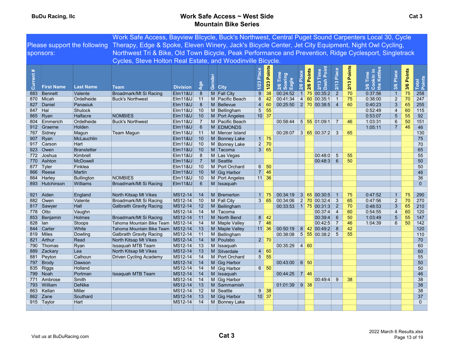|           |                        |                         | Work Safe Access, Bayview Blcycle, Buck's Northwest, Central Puget Sound Carpenters Local 30, Cycle                              |                    |                |                          |                 |                    |                                      |             |        |                                         |                                   |             |                              |                |            |                 |
|-----------|------------------------|-------------------------|----------------------------------------------------------------------------------------------------------------------------------|--------------------|----------------|--------------------------|-----------------|--------------------|--------------------------------------|-------------|--------|-----------------------------------------|-----------------------------------|-------------|------------------------------|----------------|------------|-----------------|
|           |                        |                         | Please support the following Therapy, Edge & Spoke, Eleven Winery, Jack's Bicycle Center, Jet City Equipment, Night Owl Cycling, |                    |                |                          |                 |                    |                                      |             |        |                                         |                                   |             |                              |                |            |                 |
|           | sponsors:              |                         | Northwest Tri & Bike, Old Town Bicycle, Peak Performance and Prevention, Ridge Cyclesport, Singletrack                           |                    |                |                          |                 |                    |                                      |             |        |                                         |                                   |             |                              |                |            |                 |
|           |                        |                         | Cycles, Steve Holton Real Estate, and Woodinville Bicycle.                                                                       |                    |                |                          |                 |                    |                                      |             |        |                                         |                                   |             |                              |                |            |                 |
|           |                        |                         |                                                                                                                                  |                    |                |                          |                 |                    |                                      |             |        |                                         |                                   |             |                              |                |            |                 |
|           |                        |                         |                                                                                                                                  |                    |                |                          |                 | 1/23 Points        |                                      | ්පි         |        | Point                                   |                                   | 2/13 Points |                              |                |            |                 |
| Current # |                        |                         |                                                                                                                                  |                    |                |                          | Place           |                    | Time<br>2/6 Time<br>Soaring<br>Eagle |             | Points | Time                                    | 2/13 Place                        |             | Time                         | Place          | 3/6 Points |                 |
|           |                        |                         |                                                                                                                                  |                    |                | Gender                   |                 |                    |                                      | $2/6$ Plac  |        | Dash                                    |                                   |             | 3/6 Tim<br>Cookin<br>the Ket |                |            | Total<br>Points |
|           | <b>First Name</b>      | <b>Last Name</b>        | <b>Team</b>                                                                                                                      | <b>Division</b>    | Age            | <b>City</b>              | 1/23            |                    |                                      |             | 2/6    | 2/13                                    |                                   |             |                              | 3/6            |            |                 |
| 883       | Bennett                | Valente                 | Broadmark/Mt Si Racing                                                                                                           | <b>Elm11&amp;U</b> | 8              | M Fall City              | 9               | 38                 | 00:24:52                             |             |        | $1$ 75 00:35:2                          | $\overline{2}$                    | 70          | 0:37:56                      | $\overline{1}$ | 75         | 258             |
| 870       | Micah                  | Ordelheide              | <b>Buck's Northwest</b>                                                                                                          | <b>Elm11&amp;U</b> | 11             | M Pacific Beach          | 8               | 42                 | 00:41:34                             |             |        | 4 60 00:35:1                            | $\overline{1}$                    | 75          | 0:38:00                      | $\overline{2}$ | 70         | 247             |
| 827       | Daniel                 | Panasiuk                |                                                                                                                                  | <b>Elm11&amp;U</b> | 8              | M Bellevue               |                 | 4 60               | $00.25:50$ 2 70 00:38:5 4            |             |        |                                         |                                   | 60          | 0:40:23                      | $\mathfrak{S}$ | 65         | 255             |
|           | 847 Hal                | Shulock                 |                                                                                                                                  | EIM118U            | 10             | M Bellingham             |                 | $5 \overline{5}5$  |                                      |             |        |                                         |                                   |             | 0:52:49                      | $\overline{4}$ | 60         | 115             |
|           | 865 Ryan               | Halfacre                | <b>NOMBIES</b>                                                                                                                   | $E$ Im 11&U        | 10             | M Port Angeles           | $10$ 37         |                    |                                      |             |        |                                         |                                   |             | 0:53:07                      | 5              | 55         | 92              |
|           | 804 Emmerich           | Ordelheide              | <b>Buck's Northwest</b>                                                                                                          | Elm11&U            | $\overline{7}$ | M Pacific Beach          |                 |                    | 00:58:44                             |             |        |                                         |                                   | 46          | 1:03:31                      | 6              | 50         | 151             |
|           | 912 Graeme             | Holden                  |                                                                                                                                  | Elm11&U            | 6              | M EDMONDS                |                 |                    |                                      |             |        |                                         |                                   |             | 1:05:11                      | $\overline{7}$ | 46         | 46              |
|           | 767 Sidney             | Magun                   | <b>Team Magun</b>                                                                                                                | Elm11&U            | 11             | M Mercer Island          |                 |                    | 00:28:07 3 65 00:37:2 3              |             |        |                                         |                                   | 65          |                              |                |            | 130             |
| 907       | $\mathsf{R}$ yan       | McLauchlin              |                                                                                                                                  | $E$ Im 11&U        | 10             | M Bonney Lake            |                 | $1 \mid 75$        |                                      |             |        |                                         |                                   |             |                              |                |            | 75              |
|           | 917 Carson             | Hart                    |                                                                                                                                  | $E$ Im 11&U        | 10             | M Bonney Lake            |                 | $2 \overline{70}$  |                                      |             |        |                                         |                                   |             |                              |                |            | 70              |
|           | 923 Owen               | <b>Branstetter</b>      |                                                                                                                                  | <b>Elm11&amp;U</b> | $-10$          | M Tacoma                 |                 | 3 65               |                                      |             |        |                                         |                                   |             |                              |                |            | 65              |
|           | 772 Joshua             | Kimbrell                |                                                                                                                                  | Elm11&U            | 8              | M Las Vegas              |                 |                    |                                      |             |        | 00:48:0                                 | $5\phantom{.0}$                   | 55          |                              |                |            | 55              |
|           | 770 Ashton             | <b>McDowell</b>         |                                                                                                                                  | <b>Elm11&amp;U</b> | $\overline{7}$ | M Seattle                |                 |                    |                                      |             |        | $\boxed{00:48:3$ 6                      |                                   | 50          |                              |                |            | 50              |
|           | 877 Tyler              | Finklea                 |                                                                                                                                  | Elm11&U            | 10             | M Port Orchard           | 6               | 50                 |                                      |             |        |                                         |                                   |             |                              |                |            | 50              |
|           | 866 Reese              | Martin                  |                                                                                                                                  | Elm11&U            | 10             | M Gig Harbor             |                 | $7 \mid 46$        |                                      |             |        |                                         |                                   |             |                              |                |            | 46              |
|           | 864 Harley             | <b>Bullington</b>       | <b>NOMBIES</b>                                                                                                                   | Elm11&U            | 10             | M Port Angeles           | $11 \,   \, 36$ |                    |                                      |             |        |                                         |                                   |             |                              |                |            | 36              |
|           | 893 Hutchinson         | Williams                | Broadmark/Mt Si Racing                                                                                                           | <b>Elm11&amp;U</b> | 6              | M Issaquah               |                 |                    |                                      |             |        |                                         |                                   |             |                              |                |            | $\mathbf{0}$    |
|           |                        |                         |                                                                                                                                  |                    |                |                          |                 |                    |                                      |             |        |                                         |                                   |             |                              |                |            |                 |
|           | 921 Aiden              | England                 | North Kitsap Mt Vikes                                                                                                            | MS12-14            | 14             | M Bremerton              |                 | $1 \mid 75$        | 00:34:19                             |             |        | 3 65 00:30:5                            |                                   | 75          | 0.47.52                      | $\mathbf{1}$   | 75         | 290             |
|           | 882 Owen               | Valente<br>Hall         | Broadmark/Mt Si Racing                                                                                                           | MS12-14<br>MS12-14 | 10             | M Fall City              |                 | 3 65               | 00:34:06                             |             |        | $2$ 70 00:32:4                          | $\mathbf{3}$                      | 65<br>70    | 0:47:56<br>0:48:53           | $\sqrt{2}$     | 70         | 270<br>210      |
|           | 817 Sawyer<br>778 Otto |                         | <b>Galbraith Gravity Racing</b>                                                                                                  |                    | 12<br>14       | M Bellingham             |                 |                    | 00:33:53                             |             |        | $1 \overline{75} \overline{00.31}$ :3 2 |                                   | 60          |                              | 3              | 65<br>60   |                 |
|           | 853 Benjamin           | Vaughn<br><b>Holmes</b> | Broadmark/Mt Si Racing                                                                                                           | MS12-14<br>MS12-14 | 11             | M Tacoma<br>M North Bend |                 | $8 \mid 42$        |                                      |             |        | 00:37:4<br> 00:39:4                     | $\overline{4}$<br>$6\phantom{1}6$ | 50          | 0:54:55<br>1:03:49           | 4<br>5         | 55         | 120<br>147      |
| 828       | lan                    | <b>Stoops</b>           | Tahoma Mountain Bike Team                                                                                                        | MS12-14            | 14             | M Maple Valley           |                 | $7 \mid 46$        |                                      |             |        | 00:42:5                                 | $\overline{7}$                    | 46          | 1:04:39                      | $6^{\circ}$    | 50         | 142             |
|           | 844 Carter             | White                   | Tahoma Mountain Bike Team                                                                                                        | MS12-14            | 13             | M Maple Valley           |                 | $11 \,   \, 36$    | 00:50:19                             |             |        | $8 \, 42 \, 00.492$                     | 8                                 | 42          |                              |                |            | 120             |
| 819       | Miles                  | Dowling                 | <b>Galbraith Gravity Racing</b>                                                                                                  | $MS12-14$          | 11             | M Bellingham             |                 |                    | 00:38:08                             |             |        | $5 \overline{55} \overline{00.38.2}$ 5  |                                   | 55          |                              |                |            | 110             |
| 821       | Arthur                 | Read                    | North Kitsap Mt Vikes                                                                                                            | MS12-14            | 14             | M Poulsbo                |                 | $2 \mid 70$        |                                      |             |        |                                         |                                   |             |                              |                |            | 70              |
|           | 790 Thomas             | Ryan                    | Issaquah MTB Team                                                                                                                | MS12-14            | 13             | M Issaquah               |                 |                    | 00:35:29                             | 4 60        |        |                                         |                                   |             |                              |                |            | 60              |
| 889       | Zackary                | Lea                     | North Kitsap Mt Vikes                                                                                                            | MS12-14            | 13             | M Silverdale             |                 | 4 60               |                                      |             |        |                                         |                                   |             |                              |                |            | 60              |
|           | 881 Peyton             | Calhoun                 | <b>Driven Cycling Academy</b>                                                                                                    | MS12-14            | 14             | M Port Orchard           |                 | $5 \mid 55$        |                                      |             |        |                                         |                                   |             |                              |                |            | 55              |
|           | 797 Brody              | Dawson                  |                                                                                                                                  | MS12-14            | 14             | M Gig Harbor             |                 |                    | 00:43:00                             | 6 50        |        |                                         |                                   |             |                              |                |            | 50              |
|           | 835 Riggs              | Holland                 |                                                                                                                                  | MS12-14            | 14             | M Gig Harbor             |                 | $6 \mid 50$        |                                      |             |        |                                         |                                   |             |                              |                |            | 50              |
|           | 799 Noah               | Portman                 | <b>Issaquah MTB Team</b>                                                                                                         | MS12-14            | 14             | M Issaquah               |                 |                    | 00:44:25                             | $\mid$ 7 46 |        |                                         |                                   |             |                              |                |            | 46              |
|           | 771 Ambrose            | Smith                   |                                                                                                                                  | MS12-14            | 14             | M Gig Harbor             |                 |                    |                                      |             |        | 00:49:4                                 | 9                                 | 38          |                              |                |            | 38              |
|           | 793 William            | <b>DeNike</b>           |                                                                                                                                  | MS12-14            | 13             | M Sammamish              |                 |                    | 01:01:39 9 38                        |             |        |                                         |                                   |             |                              |                |            | 38              |
|           | 863 Kellan             | Miller                  |                                                                                                                                  | MS12-14            | 12             | M Seattle                |                 | $9 \overline{)38}$ |                                      |             |        |                                         |                                   |             |                              |                |            | 38              |
|           | 862 Zane               | Southard                |                                                                                                                                  | MS12-14            | 13             | M Gig Harbor             | $10 \vert 37$   |                    |                                      |             |        |                                         |                                   |             |                              |                |            | 37              |
|           | 915 Taylor             | Hart                    |                                                                                                                                  | MS12-14            | 14             | M Bonney Lake            |                 |                    |                                      |             |        |                                         |                                   |             |                              |                |            | $\mathbf{0}$    |
|           |                        |                         |                                                                                                                                  |                    |                |                          |                 |                    |                                      |             |        |                                         |                                   |             |                              |                |            |                 |
|           |                        |                         |                                                                                                                                  |                    |                |                          |                 |                    |                                      |             |        |                                         |                                   |             |                              |                |            |                 |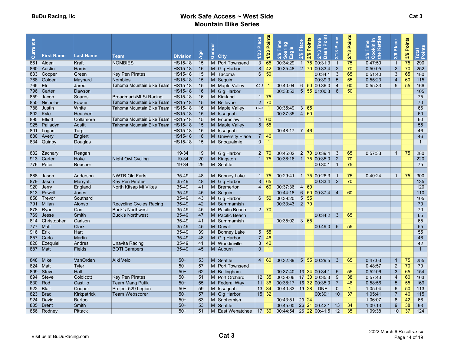| Current# | <b>First Name</b> | <b>Last Name</b> | <b>Team</b>                    | <b>Division</b> | <b>DR</b> | Gender | <b>City</b>              | Place<br>$1/23$ | <b>Points</b><br>1/23 | Time<br>ioaring<br>:agle<br>$\frac{26}{3}$ $\frac{8}{10}$ $\frac{8}{10}$ | $\frac{a}{a}$<br>2/6 | Points<br>2/6 | Point<br>Time<br>$l$ ash<br>$\sim$<br>21 | Place<br>2/13  | <b>Points</b><br>2/13 | <b>xkin</b> in<br>Kettle<br>Time<br>$rac{6}{26}$ $rac{6}{5}$ | Place<br>3/6    | Points<br>3/6 | Total<br>Points |  |
|----------|-------------------|------------------|--------------------------------|-----------------|-----------|--------|--------------------------|-----------------|-----------------------|--------------------------------------------------------------------------|----------------------|---------------|------------------------------------------|----------------|-----------------------|--------------------------------------------------------------|-----------------|---------------|-----------------|--|
| 861      | Aiden             | Kraft            | <b>NOMBIES</b>                 | <b>HS15-18</b>  | 15        |        | M Port Townsend          | $\mathbf{3}$    | 65                    | 00:34:29                                                                 | $\vert$ 1 $\vert$    |               | 75 00:31:3                               | $\overline{1}$ | 75                    | 0.47:50                                                      | $\overline{1}$  | 75            | 290             |  |
| 860      | Austin            | Harris           |                                | <b>HS15-18</b>  | 16        |        | M Gig Harbor             | 8               | 42                    | 00:35:48                                                                 |                      |               | $\vert 2 \vert 70 \vert 00.33.4 \vert$   | $\overline{2}$ | 70                    | 0:50:05                                                      | $\overline{2}$  | 70            | 252             |  |
| 833      | Cooper            | Green            | <b>Key Pen Pirates</b>         | HS15-18         | 15        |        | M Tacoma                 | 6               | 50                    |                                                                          |                      |               | 00:34:1                                  | $\mathbf{3}$   | 65                    | 0:51:40                                                      | 3               | 65            | 180             |  |
|          | 768 Golden        | Maynard          | <b>Nombies</b>                 | HS15-18         | 15        |        | M Sequim                 |                 |                       |                                                                          |                      |               | 00:39:3                                  | 5              | 55                    | 0:55:23                                                      | $\overline{4}$  | 60            | 115             |  |
| 765 Eli  |                   | Jared            | Tahoma Mountain Bike Team      | HS15-18         | 15        |        | M Maple Valley           | $C2-8$          | $\overline{1}$        | 00:40:04                                                                 |                      |               | $6 \,   \, 50 \,   \, 00:36:0  $         | $\overline{4}$ | 60                    | 0:55:33                                                      | $5\phantom{.0}$ | 55            | 166             |  |
|          | 796 Carter        | Dawson           |                                | HS15-18         | 16        |        | M Gig Harbor             |                 |                       | $00:38:53$ 5 5 01:00:3 6                                                 |                      |               |                                          |                | 50                    |                                                              |                 |               | 105             |  |
| 859      | Jacob             | Soares           | Broadmark/Mt Si Racing         | <b>HS15-18</b>  | 16        |        | M Kirkland               |                 | $1 \mid 75$           |                                                                          |                      |               |                                          |                |                       |                                                              |                 |               | 75              |  |
| 850      | Nicholas          | Fowler           | Tahoma Mountain Bike Team      | <b>HS15-18</b>  | 15        |        | M Bellevue               |                 | $2 \mid 70$           |                                                                          |                      |               |                                          |                |                       |                                                              |                 |               | 70              |  |
| 788      | Justin            | White            | Tahoma Mountain Bike Team      | HS15-18         | 16        |        | M Maple Valley           | $C2-7$ 1        |                       | 00:35:49                                                                 | 3 65                 |               |                                          |                |                       |                                                              |                 |               | 66              |  |
|          | 802 Kyle          | <b>Heuchert</b>  |                                | HS15-18         | 15        |        | M Issaquah               |                 |                       | 00:37:35                                                                 | 4 60                 |               |                                          |                |                       |                                                              |                 |               | 60              |  |
|          | 895 Elliott       | Collamore        | Tahoma Mountain Bike Team      | HS15-18         | 15        |        | M Enumclaw               | $\overline{4}$  | 60                    |                                                                          |                      |               |                                          |                |                       |                                                              |                 |               | 60              |  |
|          | 925 Palladyn      | Adsitt           | Tahoma Mountain Bike Team      | <b>HS15-18</b>  | 15        |        | M   Maple Valley         |                 | $5 \mid 55$           |                                                                          |                      |               |                                          |                |                       |                                                              |                 |               | 55              |  |
|          | 801 Logan         | Tarp             |                                | <b>HS15-18</b>  | 15        |        | M Issaquah               |                 |                       | $00:48:17$ 7 46                                                          |                      |               |                                          |                |                       |                                                              |                 |               | 46              |  |
|          | 880 Avery         | Englert          |                                | HS15-18         | 18        |        | M University Place       |                 | $7 \vert 46$          |                                                                          |                      |               |                                          |                |                       |                                                              |                 |               | 46              |  |
|          | 834 Quinby        | Douglas          |                                | <b>HS15-18</b>  | 15        |        | M Snoqualmie             | $\overline{0}$  | $\overline{1}$        |                                                                          |                      |               |                                          |                |                       |                                                              |                 |               | $\mathbf{1}$    |  |
|          |                   |                  |                                |                 |           |        |                          |                 |                       |                                                                          |                      |               |                                          |                |                       |                                                              |                 |               |                 |  |
|          | 832 Zachary       | Reagan           |                                | 19-34           | 19        |        | M Gig Harbor             |                 | $2 \mid 70$           | 00:45:02                                                                 |                      |               | $\vert 2 \vert 70 \vert 00:39.4$         | 3              | 65                    | 0:57:33                                                      | $\overline{1}$  | 75            | 280             |  |
|          | 913 Carter        | Hoke             | Night Owl Cycling              | 19-34           | 20        |        | M Kingston               |                 | $1 \overline{75}$     | 00:38:16                                                                 |                      |               | 17500:350                                | $\overline{2}$ | 70                    |                                                              |                 |               | 220             |  |
|          | 776 Peter         | Boucher          |                                | 19-34           | 29        |        | M Seattle                |                 |                       |                                                                          |                      |               | 00:30:1                                  | $\overline{1}$ | 75                    |                                                              |                 |               | 75              |  |
|          |                   |                  |                                |                 |           |        |                          |                 |                       |                                                                          |                      |               |                                          |                |                       |                                                              |                 |               |                 |  |
| 888      | Jason             | Anderson         | <b>NWTB Old Farts</b>          | 35-49           | 48        |        | M Bonney Lake            |                 | $1 \mid 75$           | 00:29:41                                                                 |                      |               | $1$ 75 00:26:3                           | $\overline{1}$ | 75                    | 0:40:24                                                      | $\overline{1}$  | 75            | 300             |  |
| 879      | Jason             | Marryatt         | <b>Key Pen Pirates</b>         | 35-49           | 48        |        | M Gig Harbor             |                 | 3 65                  |                                                                          |                      |               | $00:33:4$ 2                              |                | 70                    |                                                              |                 |               | 135             |  |
| 920      | Jerry             | England          | North Kitsap Mt Vikes          | 35-49           | 41        |        | M Bremerton              |                 | 4 60                  | 00:37:36                                                                 | 4 60                 |               |                                          |                |                       |                                                              |                 |               | 120             |  |
|          | 813 Powell        | Jones            |                                | 35-49           | 45        |        | M Sequim                 |                 |                       | 00:44:18                                                                 |                      |               | $6 \, 50 \, 00.374$                      | - 4            | 60                    |                                                              |                 |               | 110             |  |
|          | 858 Trevor        | Southard         |                                | 35-49           | 43        |        | M Gig Harbor             |                 | 6   50                | 00:39:20                                                                 | 5 55                 |               |                                          |                |                       |                                                              |                 |               | 105             |  |
|          | 791 Millan        | Alonso           | <b>Recycling Cycles Racing</b> | 35-49           | 42        |        | M Sammamish              |                 |                       | 00:33:43 2 70                                                            |                      |               |                                          |                |                       |                                                              |                 |               | 70              |  |
|          | 878 Ryan          | Carr             | <b>Buck's Northwest</b>        | 35-49           | 45        |        | M Pacific Beach          |                 | $2 \mid 70$           |                                                                          |                      |               |                                          |                |                       |                                                              |                 |               | 70              |  |
| 769      | $\vert$ Jesse     | Smith            | <b>Buck's Northwest</b>        | 35-49           | 47        |        | M Pacific Beach          |                 |                       |                                                                          |                      |               | $00:34:2$ 3                              |                | 65                    |                                                              |                 |               | 65              |  |
|          | 814 Christopher   | Carlson          |                                | 35-49           | 41        |        | M Sammamish              |                 |                       | $00:35:02$ 3 65                                                          |                      |               |                                          |                |                       |                                                              |                 |               | 65              |  |
|          | 777 Matt          | <b>Clark</b>     |                                | 35-49           | 45        |        | M Duvall                 |                 |                       |                                                                          |                      |               | $00:49:0$ 5                              |                | 55                    |                                                              |                 |               | 55              |  |
| 916 Erik |                   | Hart             |                                | 35-49           | 39        |        | M Bonney Lake            | 5 <sup>5</sup>  | 55                    |                                                                          |                      |               |                                          |                |                       |                                                              |                 |               | 55              |  |
|          | 857 Carlo         | Martin           |                                | 35-49           | 48        |        | M Gig Harbor             |                 | $7 \vert 46$          |                                                                          |                      |               |                                          |                |                       |                                                              |                 |               | 46              |  |
|          | 820 Ezequiel      | Andres           | <b>Unavita Racing</b>          | 35-49           | 41        |        | M Woodinville            | 8               | 42                    |                                                                          |                      |               |                                          |                |                       |                                                              |                 |               | 42              |  |
|          | 887 Matt          | <b>Fields</b>    | <b>BOTI Campers</b>            | 35-49           | 45        |        | M Auburn                 | 0 <sup>1</sup>  | $\overline{1}$        |                                                                          |                      |               |                                          |                |                       |                                                              |                 |               | $\overline{1}$  |  |
|          |                   |                  |                                |                 |           |        |                          |                 |                       |                                                                          |                      |               |                                          |                |                       |                                                              |                 |               |                 |  |
|          | 848 Mike          | VanOrden         | Alki Velo                      | $50+$           | 53        |        | M Seattle                |                 | $4 \mid 60$           | 00:32:39                                                                 |                      |               | $5 \, 55 \, 00:29.5$                     | -3             | 65                    | 0:47:03                                                      | $\mathbf{1}$    | 75            | 255             |  |
|          | 824 Matt          | Tyler            |                                | $50+$           | 57        |        | M Port Townsend          |                 |                       |                                                                          |                      |               |                                          |                |                       | 0.48.57                                                      | $\sqrt{2}$      | 70            | 70              |  |
|          | 809 Steve         | Hall             |                                | $50+$           | 62        |        | M Bellingham             |                 |                       | 00:37:40                                                                 |                      |               | 13 34 00:34:1                            | -5             | 55                    | 0:52:06                                                      | 3               | 65            | 154             |  |
|          | 894 Steve         | Coldicott        | <b>Key Pen Pirates</b>         | $50+$           | 51        |        | M Port Orchard           |                 | $12 \mid 35$          | 00:39:06                                                                 |                      |               | $17$ 30 00:35:3                          | 9              | 38                    | 0:57:43                                                      | $\overline{4}$  | 60            | 163             |  |
| 830 Rod  |                   | Castillo         | <b>Team Mang Putik</b>         | $50+$           | 55        |        | M Federal Way            |                 | $11 \,   \, 36$       | 00:38:17                                                                 |                      |               | $ 15 $ 32 00:35:0                        | $\overline{7}$ | 46                    | 0:58:56                                                      | 5               | 55            | 169             |  |
|          | 922 Blair         | Cooper           | Project 529 Legion             | $50+$           | 59        |        | M Issaquah               |                 | $13 \mid 34$          | 00:40:33                                                                 | 19 28                |               | <b>DNF</b>                               | $\mathbf 0$    | $\overline{1}$        | 1:05:04                                                      | 6               | 50            | 113             |  |
|          | 823 Brad          | Kirkpatrick      | Team Webscorer                 | $50+$           | 57        |        | M Gig Harbor             |                 | $15 \mid 32 \mid$     |                                                                          |                      |               | $00:39:1$ 10                             |                | 37                    | 1:05:41                                                      | $\overline{7}$  | 46            | 115             |  |
|          | 924 David         | <b>Bartoo</b>    |                                | $50+$           | 63        |        | M Snohomish              |                 |                       | 00:43:51 23 24                                                           |                      |               |                                          |                |                       | 1:06:07                                                      | 8               | 42            | 66              |  |
|          | 805   Brent       | Smith            |                                | $50+$           | 53        |        | M Seattle                |                 |                       | 00:45:00 26 21 00:42:1                                                   |                      |               |                                          | 13             | 34                    | 1:09:13                                                      | 9               | 38            | 93              |  |
|          | 856 Rodney        | Pittack          |                                | $50+$           | 51        |        | M East Wenatchee   17 30 |                 |                       | $00:44:54$ 25 22 00:41:5 12                                              |                      |               |                                          |                | 35                    | 1:09:38                                                      | 10 <sup>°</sup> | 37            | 124             |  |
|          |                   |                  |                                |                 |           |        |                          |                 |                       |                                                                          |                      |               |                                          |                |                       |                                                              |                 |               |                 |  |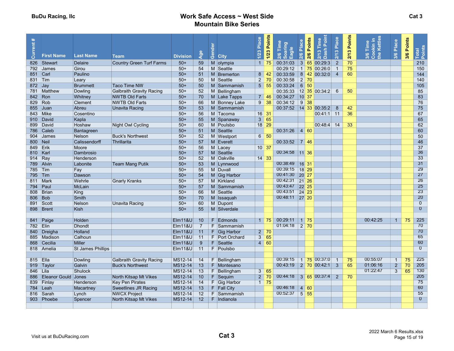| Current#  |                            |                          |                                 |                                   |                      | Gender |                | Place  | 1/23 Points               | Time<br>aring<br>Igle   | Place              | Points            | Point<br>Time<br>Dash                 | Place          | Points | Time<br>kin i<br>Kettl | Place          | 3/6 Points | Total<br>Points |  |
|-----------|----------------------------|--------------------------|---------------------------------|-----------------------------------|----------------------|--------|----------------|--------|---------------------------|-------------------------|--------------------|-------------------|---------------------------------------|----------------|--------|------------------------|----------------|------------|-----------------|--|
|           | <b>First Name</b>          | <b>Last Name</b>         | <b>Team</b>                     | <b>Division</b>                   | Age                  |        | <b>City</b>    | $1/23$ |                           | 300                     | 2/6                | 2/6               | 2/13                                  | 2/13           | 2/13   | the<br>$rac{6}{3}$     | 3/6            |            |                 |  |
| 826       | Stewart                    | <b>Delaire</b>           | <b>Country Green Turf Farms</b> | $50+$                             | 59                   | M      | olympia        | 1      | 75                        | 00:31:03                |                    |                   | 3 65 00:29:3                          | $\overline{2}$ | 70     |                        |                |            | 210             |  |
|           | 792 James                  | Girou                    |                                 | $50+$                             | 54                   |        | M Seattle      |        |                           | 00:29:12                |                    |                   | $1$ 75 00:26:0                        | $\overline{1}$ | 75     |                        |                |            | 150             |  |
| 851 Carl  |                            | Paulino                  |                                 | $50+$                             | 51                   |        | M Bremerton    |        | $8 \mid 42$               | 00:33:59                |                    |                   | 8 42 00:32:0                          | $\overline{4}$ | 60     |                        |                |            | 144             |  |
| 831 Tim   |                            | Leary                    |                                 | $50+$                             | 50                   |        | M Seattle      |        | 2 70                      | 00:30:58                |                    | $2 \mid 70$       |                                       |                |        |                        |                |            | 140             |  |
| $872$ Jay |                            | <b>Brummett</b>          | <b>Taco Time NW</b>             | $50+$                             | 50                   |        | M Sammamish    |        | $5 \mid 55$               | 00:33:24                |                    | $6 \mid 50$       |                                       |                |        |                        |                |            | 105             |  |
|           | 781 Matthew                | Dowling                  | <b>Galbraith Gravity Racing</b> | $50+$                             | 52                   |        | M Bellingham   |        |                           | 00:35:33                |                    |                   | 12 35 00:34:2                         | 6              | 50     |                        |                |            | 85              |  |
| 842 Ron   |                            | Whitney                  | <b>NWTB Old Farts</b>           | $50+$                             | 70                   |        | M Lake Tapps   |        | $7 \mid 46$               | 00:34:27                |                    | 10 37             |                                       |                |        |                        |                |            | 83              |  |
| 829 Rob   |                            | Clement                  | <b>NWTB Old Farts</b>           | $50+$                             | 66                   |        | M Bonney Lake  |        | $9 \overline{)38}$        | 00:34:12                |                    | $9 \overline{38}$ |                                       |                |        |                        |                |            | 76              |  |
| 855       | $ $ Juan                   | Abreu                    | Unavita Racing                  | $50+$                             | 53                   |        | M Sammamish    |        |                           | 00:37:52 14 33 00:35:2  |                    |                   |                                       | 8              | 42     |                        |                |            | 75              |  |
| 843 Mike  |                            | Cosentino                |                                 | $50+$                             | 56                   |        | M Tacoma       |        | $16 \mid 31$              |                         |                    |                   | $00:41:1$ 11                          |                | 36     |                        |                |            | 67              |  |
|           | 910 David                  | Kapla                    |                                 | $50+$                             | 55                   |        | M Spanaway     |        | 3 65                      |                         |                    |                   |                                       |                |        |                        |                |            | 65              |  |
| 899       | David                      | Hoshaw                   | Night Owl Cycling               | $50+$                             | 60                   |        | M Poulsbo      |        | $18$ 29                   |                         |                    |                   | $ 00:48:4 $ 14                        |                | 33     |                        |                |            | 62              |  |
| 786       | Caleb                      | Bantagreen               |                                 | $50+$                             | 51                   |        | M Seattle      |        |                           | $00:31:26$ 4 60         |                    |                   |                                       |                |        |                        |                |            | 60              |  |
|           | 904 James                  | <b>Nelson</b>            | <b>Buck's Northwest</b>         | $50+$                             | 52                   |        | M Westport     |        | $6 \mid 50$               |                         |                    |                   |                                       |                |        |                        |                |            | 50              |  |
| 800 Neil  |                            | <b>Calissendorff</b>     | Thrillarita                     | $50+$                             | 57                   |        | M Everett      |        |                           | $00:33:52$   7 46       |                    |                   |                                       |                |        |                        |                |            | 46              |  |
| 849 Erik  |                            | Moore                    |                                 | $50+$                             | 56                   |        | M Lacev        |        | $10 \vert 37$             |                         |                    |                   |                                       |                |        |                        |                |            | 37              |  |
| 810 Karl  |                            | Dambrosio                |                                 | $50+$                             | 57                   |        | M Seattle      |        |                           | 00:34:58 11 36          |                    |                   |                                       |                |        |                        |                |            | 36              |  |
| 914 Ray   |                            | Henderson                |                                 | $50+$                             | 52                   |        | M Oakville     |        | $14 \overline{\smash)33}$ |                         |                    |                   |                                       |                |        |                        |                |            | 33              |  |
| 789 Alvin |                            | Labonite                 | <b>Team Mang Putik</b>          | $50+$                             | 53                   |        | M Lynnwood     |        |                           | 00:38:49                |                    | $16$ 31           |                                       |                |        |                        |                |            | 31              |  |
| 785 Tim   |                            | Fay                      |                                 | $50+$                             | 55                   |        | M Duvall       |        |                           | 00:39:15                |                    | 18 29             |                                       |                |        |                        |                |            | 29              |  |
| 795 Tim   |                            | Dawson                   |                                 | $50+$                             | 54                   |        | M Gig Harbor   |        |                           | 00:41:30                | 20 27              |                   |                                       |                |        |                        |                |            | 27              |  |
| 811 Mark  |                            | Wehrle                   | <b>Gnarly Kranks</b>            | $50+$                             | 57                   |        | M Kirkland     |        |                           | 00:42:31                |                    | 21 26             |                                       |                |        |                        |                |            | 26              |  |
| 794       | Paul                       | <b>McLain</b>            |                                 | $50+$                             | 57                   |        | M Sammamish    |        |                           | 00:43:47 22 25          |                    |                   |                                       |                |        |                        |                |            | 25              |  |
|           | 808 Brian                  | King                     |                                 | $50+$                             | 66                   |        | M Seattle      |        |                           | 00:43:51                | $24 \overline{23}$ |                   |                                       |                |        |                        |                |            | 23              |  |
| 806       | Bob                        | Smith                    |                                 | $50+$                             | 70                   |        | M Issaquah     |        |                           | 00:48:11 27 20          |                    |                   |                                       |                |        |                        |                |            | 20              |  |
|           | 891 Scott                  | <b>Nelson</b>            | <b>Unavita Racing</b>           | $50+$                             | 60                   |        | M Dupont       |        |                           |                         |                    |                   |                                       |                |        |                        |                |            | $\overline{0}$  |  |
| 898       | Brent                      | Kish                     |                                 | $50+$                             | 55                   |        | M Silverdale   |        |                           |                         |                    |                   |                                       |                |        |                        |                |            | $\Omega$        |  |
|           | 841 Paige                  | Holden                   |                                 | <b>Elm11&amp;U</b>                |                      |        | F Edmonds      |        | $1 \overline{75}$         | 00:29:11                |                    | 175               |                                       |                |        | 00:42:25               | -1             | 75         | 225             |  |
|           |                            | <b>Dhondt</b>            |                                 |                                   | 10<br>$\overline{7}$ |        | F Sammamish    |        |                           | 01:04:18                |                    | $2 \overline{70}$ |                                       |                |        |                        |                |            | 70              |  |
| 782 Elin  |                            | Holland                  |                                 | Elm11&U                           |                      |        | $F$ Gig Harbor |        | $2 \overline{70}$         |                         |                    |                   |                                       |                |        |                        |                |            | 70              |  |
|           | 840 Dreigha                |                          |                                 | <b>Elm11&amp;U</b>                | 11<br>11             |        | F Port Orchard |        | 3 65                      |                         |                    |                   |                                       |                |        |                        |                |            | 65              |  |
| 868       | 885 Madison<br>Cecilia     | Calhoun<br><b>Miller</b> |                                 | $E$ Im 11&U<br><b>Elm11&amp;U</b> | 9                    |        | F Seattle      |        | $4 \overline{60}$         |                         |                    |                   |                                       |                |        |                        |                |            | 60              |  |
|           | 818 Amelia                 | <b>St James Phillips</b> |                                 | <b>Elm11&amp;U</b>                | 11                   |        | F Poulsbo      |        |                           |                         |                    |                   |                                       |                |        |                        |                |            | $\overline{0}$  |  |
|           |                            |                          |                                 |                                   |                      |        |                |        |                           |                         |                    |                   |                                       |                |        |                        |                |            |                 |  |
| 815 Ella  |                            | Dowling                  | <b>Galbraith Gravity Racing</b> | MS12-14                           | 14                   |        | F Bellingham   |        |                           | 00:39:15                |                    |                   | $1 \overline{75} \overline{00.37}$ :0 | $\overline{1}$ | 75     | 00:55:07               | $\mathbf{1}$   | 75         | 225             |  |
|           | 919 Taylor                 | Galvin                   | <b>Buck's Northwest</b>         | MS12-14                           | 13                   |        | F Montesano    |        |                           | 00:43:19 2 70 00:42:1 3 |                    |                   |                                       |                | 65     | 01:06:16               | $\overline{2}$ | 70         | 205             |  |
| 846 Lila  |                            | <b>Shulock</b>           |                                 | MS12-14                           | 13                   |        | F Bellingham   |        | $3 \overline{65}$         |                         |                    |                   |                                       |                |        | 01:22:47               | $\overline{3}$ | 65         | 130             |  |
| 886       | <b>Eleanor Gould Jones</b> |                          | North Kitsap Mt Vikes           | MS12-14                           | 10                   |        | F Sequim       |        | $2 \overline{70}$         | 00:44:18 3 65 00:37:4 2 |                    |                   |                                       |                | 70     |                        |                |            | 205             |  |
|           | 839 Finlay                 | Henderson                | <b>Key Pen Pirates</b>          | MS12-14                           | 14                   |        | F Gig Harbor   |        | $1 \mid 75$               |                         |                    |                   |                                       |                |        |                        |                |            | 75              |  |
|           | 784 Leah                   | Macartney                | <b>Sweetlines JR Racing</b>     | MS12-14                           | 13                   |        | F Fall City    |        |                           | 00:46:18 4 60           |                    |                   |                                       |                |        |                        |                |            | 60              |  |
| 816       | Sarah                      | Lynch                    | <b>NWCX Project</b>             | MS12-14                           | 12                   |        | F Sammamish    |        |                           | 00:52:37                | 555                |                   |                                       |                |        |                        |                |            | 55              |  |
| 903       | Phoebe                     | Spencer                  | North Kitsap Mt Vikes           | MS12-14                           | 12                   |        | F Indianola    |        |                           |                         |                    |                   |                                       |                |        |                        |                |            | $\overline{0}$  |  |
|           |                            |                          |                                 |                                   |                      |        |                |        |                           |                         |                    |                   |                                       |                |        |                        |                |            |                 |  |
|           |                            |                          |                                 |                                   |                      |        |                |        |                           |                         |                    |                   |                                       |                |        |                        |                |            |                 |  |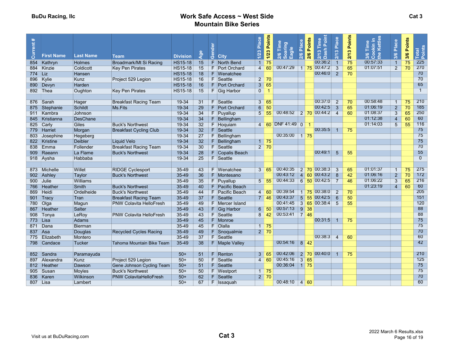| Current# |                   |                  |                                |                 |                 | Gender |                       | Place           | 1/23 Points       | Time<br>aring<br>gle    | ဗိ<br>$2/6$ Plac | 2/6 Points        | Point<br>Time                                                           | Place                   | Points | Time<br>kin.<br><b>Vei</b>         | Place           | 3/6 Points |                 |  |
|----------|-------------------|------------------|--------------------------------|-----------------|-----------------|--------|-----------------------|-----------------|-------------------|-------------------------|------------------|-------------------|-------------------------------------------------------------------------|-------------------------|--------|------------------------------------|-----------------|------------|-----------------|--|
|          | <b>First Name</b> | <b>Last Name</b> | <b>Team</b>                    | <b>Division</b> | Age             |        | <b>City</b>           | $1/23$          |                   | $rac{8}{20}$<br>್<br>пı |                  |                   | Dash<br>2/13                                                            | $\frac{2}{13}$          | 2/13   | the<br>$\frac{8}{3}$ $\frac{8}{3}$ | 3/6             |            | Total<br>Points |  |
| 854      | Kathryn           | <b>Holmes</b>    | Broadmark/Mt Si Racing         | <b>HS15-18</b>  | 15              |        | F North Bend          | $\blacklozenge$ | 75                |                         |                  |                   | 00:36:2                                                                 | $\overline{1}$          | 75     | 00:57:33                           | $\overline{1}$  | 75         | 225             |  |
| 884      | Kinzie            | Coldicott        | <b>Key Pen Pirates</b>         | <b>HS15-18</b>  | 15              |        | F Port Orchard        | $\overline{4}$  | 60                | 00:47:29                |                  |                   | 1 75 00:47:2                                                            | $\overline{3}$          | 65     | 01:07:51                           | $\overline{2}$  | 70         | 270             |  |
| 774 Liz  |                   | <b>Hansen</b>    |                                | <b>HS15-18</b>  | 18              |        | F Wenatchee           |                 |                   |                         |                  |                   | 00:46:0                                                                 | $\overline{2}$          | 70     |                                    |                 |            | 70              |  |
| 896      | Kylie             | Kunz             | Project 529 Legion             | <b>HS15-18</b>  | 16              |        | F Seattle             |                 | $2 \overline{70}$ |                         |                  |                   |                                                                         |                         |        |                                    |                 |            | 70              |  |
| 890      | Devyn             | <b>Harden</b>    |                                | <b>HS15-18</b>  | 16              |        | F Port Orchard        |                 | 3 65              |                         |                  |                   |                                                                         |                         |        |                                    |                 |            | 65              |  |
| 892 Thea |                   | Oughton          | <b>Key Pen Pirates</b>         | <b>HS15-18</b>  | 15              |        | F Gig Harbor          | $\mathbf{0}$    | $\overline{1}$    |                         |                  |                   |                                                                         |                         |        |                                    |                 |            | $\overline{1}$  |  |
|          |                   |                  |                                |                 |                 |        |                       |                 |                   |                         |                  |                   |                                                                         |                         |        |                                    |                 |            |                 |  |
|          | 876 Sarah         | Hager            | <b>Breakfast Racing Team</b>   | 19-34           | 31              |        | F Seattle             | $\overline{3}$  | 65                |                         |                  |                   | 00:37:0                                                                 | $\overline{2}$          | 70     | 00:58:48                           |                 | 75         | 210             |  |
|          | 875 Stephanie     | Schildt          | Ms.Fits                        | 19-34           | 29              | F      | <b>Port Orchard</b>   | 6               | 50                |                         |                  |                   | 00:42:5                                                                 | $\overline{\mathbf{3}}$ | 65     | 01:06:19                           | $\overline{2}$  | 70         | 185             |  |
|          | 911 Kambra        | Johnson          |                                | $19 - 34$       | 34              |        | F Puyallup            | 5 <sup>5</sup>  | 55                | 00:48:52 2 70 00:44:2   |                  |                   |                                                                         | $\overline{4}$          | 60     | 01:08:37                           | 3               | 65         | 250             |  |
| 845      | Kristianna        | <b>DesChane</b>  |                                | 19-34           | 34              |        | $F$ Bellingham        |                 |                   |                         |                  |                   |                                                                         |                         |        | 01:12:38                           | 4               | 60         | 60              |  |
| 825      | Carly             | <b>Giles</b>     | <b>Buck's Northwest</b>        | 19-34           | 32              |        | F Hoquiam             |                 |                   | 4 60 DNF 41:49 0 1      |                  |                   |                                                                         |                         |        | 01:14:03                           | $5\overline{)}$ | 55         | 116             |  |
|          | 779 Harriet       | Morgan           | <b>Breakfast Cycling Club</b>  | 19-34           | 32              |        | F Seattle             |                 |                   |                         |                  |                   | 00:35:5                                                                 | -1                      | 75     |                                    |                 |            | 75              |  |
| 803      | Josephine         | Hegeberg         |                                | $19 - 34$       | 27              |        | F Bellingham          |                 |                   | 00:35:00                |                  | 1175              |                                                                         |                         |        |                                    |                 |            | 75              |  |
|          | 822 Kristine      | <b>Deibler</b>   | Liquid Velo                    | $19 - 34$       | 32              | F.     | Bellingham            |                 | $1 \overline{75}$ |                         |                  |                   |                                                                         |                         |        |                                    |                 |            | 75              |  |
| 838      | Emma              | Follender        | <b>Breakfast Racing Team</b>   | 19-34           | 30              |        | F Seattle             |                 | $2 \overline{70}$ |                         |                  |                   |                                                                         |                         |        |                                    |                 |            | 70              |  |
| 909      | Raeann            | La Flame         | <b>Buck's Northwest</b>        | 19-34           | 28              |        | F Copalis Beach       |                 |                   |                         |                  |                   | 00:49:1                                                                 | $5\overline{5}$         | 55     |                                    |                 |            | 55              |  |
|          | 918 Aysha         | Habbaba          |                                | 19-34           | 25              |        | F Seattle             |                 |                   |                         |                  |                   |                                                                         |                         |        |                                    |                 |            | $\overline{0}$  |  |
|          |                   |                  |                                |                 |                 |        |                       |                 |                   |                         |                  |                   |                                                                         |                         |        |                                    |                 |            |                 |  |
|          | 873 Michelle      | Willet           | <b>RIDGE Cyclesport</b>        | 35-49           | 43              |        | F Wenatchee           | 3 <sup>7</sup>  | 65                | 00:40:35                |                  |                   | 2 70 00:38:3                                                            | -3                      | 65     | 01:01:37                           |                 | 75         | 275             |  |
|          | 902 Ashley        | Taylor           | <b>Buck's Northwest</b>        | $35 - 49$       | 36              |        | F Montesano           |                 |                   | 00:43:12                |                  |                   | $\begin{array}{ c c c c c } \hline 4 & 60 & 00.43.2 \hline \end{array}$ | $-8$                    | 42     | 01:06:16                           | $\overline{2}$  | 70         | 172             |  |
| 900      | Julie             | <b>Williams</b>  |                                | $35 - 49$       | 35              |        | F Puyallup            |                 | $5\overline{55}$  | 00:44:33                |                  |                   | $6$ 50 00:42:5                                                          | $\overline{7}$          | 46     | 01:06:22                           | 3               | 65         | 216             |  |
| 766      | Heather           | Smith            | <b>Buck's Northwest</b>        | $35 - 49$       | 40              |        | F Pacific Beach       |                 |                   |                         |                  |                   |                                                                         |                         |        | 01:23:19                           | 4               | 60         | 60              |  |
| 869      | Heidi             | Ordelheide       | <b>Buck's Northwest</b>        | $35 - 49$       | 44              |        | F Pacific Beach       |                 | $4 \overline{60}$ | 00:39:54                |                  |                   | 1 75 00:38:0                                                            | $\overline{2}$          | 70     |                                    |                 |            | 205             |  |
|          | 901 Tracy         | Tran             | <b>Breakfast Racing Team</b>   | $35 - 49$       | 37              |        | F Seattle             |                 | $7 \vert 46$      | 00:43:37                |                  |                   | $5\,$ 55 00:42:5                                                        | 6                       | 50     |                                    |                 |            | 151             |  |
| 780 Olga |                   | Magun            | <b>PNW Colavita HelloFresh</b> | $35 - 49$       | 49              |        | F Mercer Island       |                 |                   | 00:41:45                |                  |                   | $3\,65\,00.38.4$                                                        | -5                      | 55     |                                    |                 |            | 120             |  |
| 867      | Heather           | <b>Salter</b>    |                                | $35-49$         | 43              |        | F Gig Harbor          |                 | $6\overline{50}$  | 00:57:13                |                  | $9 \overline{38}$ |                                                                         |                         |        |                                    |                 |            | 88              |  |
| 908      | Tonya             | LeRoy            | <b>PNW Colavita HelloFresh</b> | 35-49           | 43              |        | F Seattle             |                 | $8 \mid 42 \mid$  | 00:53:41                |                  |                   |                                                                         |                         |        |                                    |                 |            | 88              |  |
| 773      | Lisa              | <b>Adams</b>     |                                | $35 - 49$       | 45              |        | F Monroe              |                 |                   |                         |                  |                   | 00:31:5                                                                 | $\overline{1}$          | 75     |                                    |                 |            | 75              |  |
| 871 Dana |                   | <b>Bierman</b>   |                                | $35 - 49$       | 45              |        | F Olalla              |                 | $1 \overline{75}$ |                         |                  |                   |                                                                         |                         |        |                                    |                 |            | 75              |  |
| 837      | Asa               | Douglas          | <b>Recycled Cycles Racing</b>  | $35 - 49$       | 49              |        | $F$ Snoqualmie        |                 | $2 \overline{70}$ |                         |                  |                   |                                                                         |                         |        |                                    |                 |            | 70              |  |
| 775      | Elizabeth         | Montero          |                                | $35 - 49$       | 37              |        | F Seattle             |                 |                   |                         |                  |                   | 00:38:3                                                                 | $\boldsymbol{\Delta}$   | 60     |                                    |                 |            | 60              |  |
| 798      | Candace           | Tucker           | Tahoma Mountain Bike Team      | 35-49           | $\overline{38}$ |        | <b>F</b> Maple Valley |                 |                   | 00:54:16                |                  | $8 \overline{42}$ |                                                                         |                         |        |                                    |                 |            | 42              |  |
|          |                   |                  |                                |                 |                 |        |                       |                 |                   |                         |                  |                   |                                                                         |                         |        |                                    |                 |            |                 |  |
|          | 852 Sandra        | Paramayuda       |                                | $50+$           | 51              |        | F Renton              | 3 <sup>1</sup>  | 65                | 00:42:06                |                  |                   | $2$ 70 00:40:0                                                          |                         | 75     |                                    |                 |            | 210             |  |
| 897      | Alexandra         | Kunz             | Project 529 Legion             | $50+$           | 50              | F.     | Seattle               | $\overline{4}$  | 60                | 00:45:16                |                  | $365$             |                                                                         |                         |        |                                    |                 |            | 125             |  |
|          | 812 Heather       | Dawson           | Gene Johnson Cycling Team      | $50+$           | 51              |        | F Seattle             |                 |                   | 00:36:04                |                  | 1175              |                                                                         |                         |        |                                    |                 |            | 75              |  |
| 905      | Susan             | Moyles           | <b>Buck's Northwest</b>        | $50+$           | 50              |        | F Westport            |                 | $1 \overline{75}$ |                         |                  |                   |                                                                         |                         |        |                                    |                 |            | 75<br>70        |  |
| 836      | Karen             | Wilkinson        | <b>PNW ColavitaHelloFresh</b>  | $50+$           | 62              |        | F Seattle             |                 | $2 \overline{70}$ |                         |                  |                   |                                                                         |                         |        |                                    |                 |            | 60              |  |
| 807 Lisa |                   | Lambert          |                                | $50+$           | 67              |        | $F$   Issaquah        |                 |                   | 00:48:10 4 60           |                  |                   |                                                                         |                         |        |                                    |                 |            |                 |  |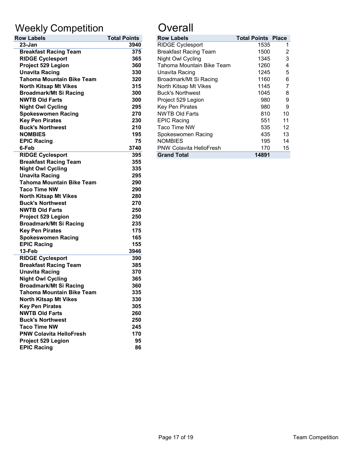# Weekly Competition **Constanting Constant**

| <b>Row Labels</b>                | <b>Total Points</b> | <b>Row Labels</b>              | <b>Total Points</b> |
|----------------------------------|---------------------|--------------------------------|---------------------|
| 23-Jan                           | 3940                | <b>RIDGE Cyclesport</b>        | 1535                |
| <b>Breakfast Racing Team</b>     | 375                 | <b>Breakfast Racing Team</b>   | 1500                |
| <b>RIDGE Cyclesport</b>          | 365                 | Night Owl Cycling              | 1345                |
| Project 529 Legion               | 360                 | Tahoma Mountain Bike Team      | 1260                |
| <b>Unavita Racing</b>            | 330                 | Unavita Racing                 | 1245                |
| <b>Tahoma Mountain Bike Team</b> | 320                 | Broadmark/Mt Si Racing         | 1160                |
| <b>North Kitsap Mt Vikes</b>     | 315                 | North Kitsap Mt Vikes          | 1145                |
| <b>Broadmark/Mt Si Racing</b>    | 300                 | <b>Buck's Northwest</b>        | 1045                |
| <b>NWTB Old Farts</b>            | 300                 | Project 529 Legion             | 980                 |
| <b>Night Owl Cycling</b>         | 295                 | Key Pen Pirates                | 980                 |
| <b>Spokeswomen Racing</b>        | 270                 | <b>NWTB Old Farts</b>          | 810                 |
| <b>Key Pen Pirates</b>           | 230                 | <b>EPIC Racing</b>             | 551                 |
| <b>Buck's Northwest</b>          | 210                 | Taco Time NW                   | 535                 |
| <b>NOMBIES</b>                   | 195                 | Spokeswomen Racing             | 435                 |
| <b>EPIC Racing</b>               | 75                  | <b>NOMBIES</b>                 | 195                 |
| 6-Feb                            | 3740                | <b>PNW Colavita HelloFresh</b> | 170                 |
| <b>RIDGE Cyclesport</b>          | 395                 | <b>Grand Total</b>             | 14891               |
| <b>Breakfast Racing Team</b>     | 355                 |                                |                     |
| <b>Night Owl Cycling</b>         | 335                 |                                |                     |
| <b>Unavita Racing</b>            | 295                 |                                |                     |
| <b>Tahoma Mountain Bike Team</b> | 290                 |                                |                     |
| <b>Taco Time NW</b>              | 290                 |                                |                     |
| <b>North Kitsap Mt Vikes</b>     | 280                 |                                |                     |
| <b>Buck's Northwest</b>          | 270                 |                                |                     |
| <b>NWTB Old Farts</b>            | 250                 |                                |                     |
| Project 529 Legion               | 250                 |                                |                     |
| <b>Broadmark/Mt Si Racing</b>    | 235                 |                                |                     |
| <b>Key Pen Pirates</b>           | 175                 |                                |                     |
| <b>Spokeswomen Racing</b>        | 165                 |                                |                     |
| <b>EPIC Racing</b>               | 155                 |                                |                     |
| 13-Feb                           | 3946                |                                |                     |
| <b>RIDGE Cyclesport</b>          | 390                 |                                |                     |
| <b>Breakfast Racing Team</b>     | 385                 |                                |                     |
| <b>Unavita Racing</b>            | 370                 |                                |                     |
| <b>Night Owl Cycling</b>         | 365                 |                                |                     |
| <b>Broadmark/Mt Si Racing</b>    | 360                 |                                |                     |
| <b>Tahoma Mountain Bike Team</b> | 335                 |                                |                     |
| <b>North Kitsap Mt Vikes</b>     | 330                 |                                |                     |
| <b>Key Pen Pirates</b>           | 305                 |                                |                     |
| <b>NWTB Old Farts</b>            | 260                 |                                |                     |
| <b>Buck's Northwest</b>          | 250                 |                                |                     |
| <b>Taco Time NW</b>              | 245                 |                                |                     |
| <b>PNW Colavita HelloFresh</b>   | 170                 |                                |                     |
| Project 529 Legion               | 95                  |                                |                     |
| <b>EPIC Racing</b>               | 86                  |                                |                     |

| <b>Row Labels</b>                | <b>Total Points</b> | <b>Row Labels</b>              | <b>Total Points Place</b> |    |
|----------------------------------|---------------------|--------------------------------|---------------------------|----|
| $23 - Jan$                       | 3940                | <b>RIDGE Cyclesport</b>        | 1535                      |    |
| <b>Breakfast Racing Team</b>     | 375                 | <b>Breakfast Racing Team</b>   | 1500                      |    |
| <b>RIDGE Cyclesport</b>          | 365                 | Night Owl Cycling              | 1345                      | 3  |
| Project 529 Legion               | 360                 | Tahoma Mountain Bike Team      | 1260                      | 4  |
| <b>Unavita Racing</b>            | 330                 | Unavita Racing                 | 1245                      | 5  |
| <b>Tahoma Mountain Bike Team</b> | 320                 | Broadmark/Mt Si Racing         | 1160                      | 6  |
| <b>North Kitsap Mt Vikes</b>     | 315                 | North Kitsap Mt Vikes          | 1145                      |    |
| <b>Broadmark/Mt Si Racing</b>    | 300                 | <b>Buck's Northwest</b>        | 1045                      | 8  |
| <b>NWTB Old Farts</b>            | 300                 | Project 529 Legion             | 980                       | 9  |
| <b>Night Owl Cycling</b>         | 295                 | <b>Key Pen Pirates</b>         | 980                       | 9  |
| <b>Spokeswomen Racing</b>        | 270                 | <b>NWTB Old Farts</b>          | 810                       | 10 |
| <b>Key Pen Pirates</b>           | 230                 | <b>EPIC Racing</b>             | 551                       | 11 |
| <b>Buck's Northwest</b>          | 210                 | Taco Time NW                   | 535                       | 12 |
| <b>NOMBIES</b>                   | 195                 | Spokeswomen Racing             | 435                       | 13 |
| <b>EPIC Racing</b>               | 75                  | <b>NOMBIES</b>                 | 195                       | 14 |
| 6-Feb                            | 3740                | <b>PNW Colavita HelloFresh</b> | 170                       | 15 |
| <b>RIDGE Cyclesport</b>          | 395                 | <b>Grand Total</b>             | 14891                     |    |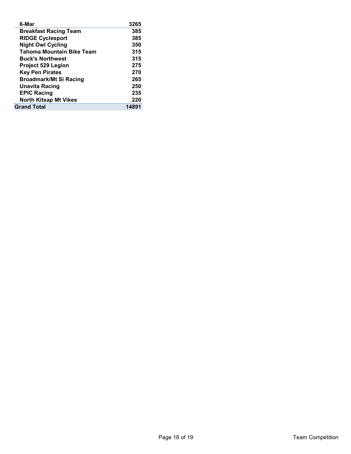| 6-Mar                            | 3265  |
|----------------------------------|-------|
| <b>Breakfast Racing Team</b>     | 385   |
| <b>RIDGE Cyclesport</b>          | 385   |
| <b>Night Owl Cycling</b>         | 350   |
| <b>Tahoma Mountain Bike Team</b> | 315   |
| <b>Buck's Northwest</b>          | 315   |
| <b>Project 529 Legion</b>        | 275   |
| <b>Key Pen Pirates</b>           | 270   |
| <b>Broadmark/Mt Si Racing</b>    | 265   |
| <b>Unavita Racing</b>            | 250   |
| <b>EPIC Racing</b>               | 235   |
| <b>North Kitsap Mt Vikes</b>     | 220   |
| <b>Grand Total</b>               | 14891 |